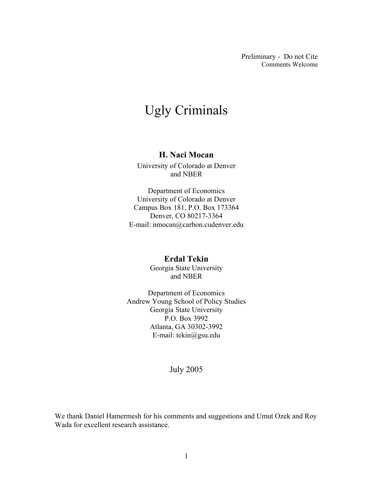Preliminary - Do not Cite Comments Welcome

# Ugly Criminals

### **H. Naci Mocan**

University of Colorado at Denver and NBER

Department of Economics University of Colorado at Denver Campus Box 181, P.O. Box 173364 Denver, CO 80217-3364 E-mail: nmocan@carbon.cudenver.edu

## **Erdal Tekin**

Georgia State University and NBER

Department of Economics Andrew Young School of Policy Studies Georgia State University P.O. Box 3992 Atlanta, GA 30302-3992 E-mail: tekin@gsu.edu

## July 2005

We thank Daniel Hamermesh for his comments and suggestions and Umut Ozek and Roy Wada for excellent research assistance.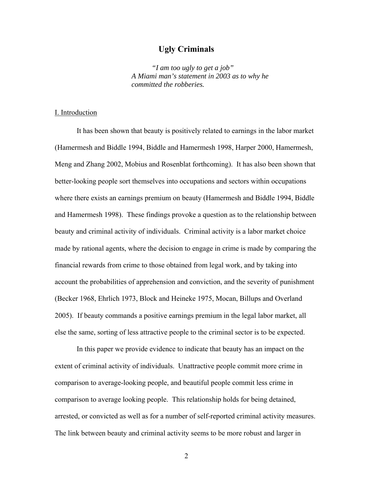#### **Ugly Criminals**

 *"I am too ugly to get a job" A Miami man's statement in 2003 as to why he committed the robberies.* 

#### I. Introduction

It has been shown that beauty is positively related to earnings in the labor market (Hamermesh and Biddle 1994, Biddle and Hamermesh 1998, Harper 2000, Hamermesh, Meng and Zhang 2002, Mobius and Rosenblat forthcoming). It has also been shown that better-looking people sort themselves into occupations and sectors within occupations where there exists an earnings premium on beauty (Hamermesh and Biddle 1994, Biddle and Hamermesh 1998). These findings provoke a question as to the relationship between beauty and criminal activity of individuals. Criminal activity is a labor market choice made by rational agents, where the decision to engage in crime is made by comparing the financial rewards from crime to those obtained from legal work, and by taking into account the probabilities of apprehension and conviction, and the severity of punishment (Becker 1968, Ehrlich 1973, Block and Heineke 1975, Mocan, Billups and Overland 2005). If beauty commands a positive earnings premium in the legal labor market, all else the same, sorting of less attractive people to the criminal sector is to be expected.

In this paper we provide evidence to indicate that beauty has an impact on the extent of criminal activity of individuals. Unattractive people commit more crime in comparison to average-looking people, and beautiful people commit less crime in comparison to average looking people. This relationship holds for being detained, arrested, or convicted as well as for a number of self-reported criminal activity measures. The link between beauty and criminal activity seems to be more robust and larger in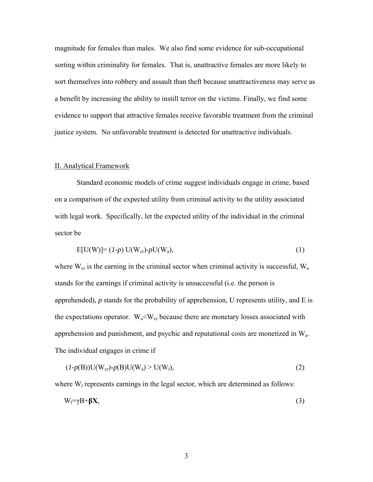magnitude for females than males. We also find some evidence for sub-occupational sorting within criminality for females. That is, unattractive females are more likely to sort themselves into robbery and assault than theft because unattractiveness may serve as a benefit by increasing the ability to instill terror on the victims. Finally, we find some evidence to support that attractive females receive favorable treatment from the criminal justice system. No unfavorable treatment is detected for unattractive individuals.

#### II. Analytical Framework

Standard economic models of crime suggest individuals engage in crime, based on a comparison of the expected utility from criminal activity to the utility associated with legal work. Specifically, let the expected utility of the individual in the criminal sector be

$$
E[U(W)] = (1-p) U(W_{cr}) - pU(W_a), \qquad (1)
$$

where  $W_{cr}$  is the earning in the criminal sector when criminal activity is successful,  $W_a$ stands for the earnings if criminal activity is unsuccessful (i.e. the person is apprehended), *p* stands for the probability of apprehension, U represents utility, and E is the expectations operator.  $W_a \ll W_{cr}$  because there are monetary losses associated with apprehension and punishment, and psychic and reputational costs are monetized in Wa. The individual engages in crime if

$$
(1-p(B))U(W_{cr})-p(B)U(W_a) > U(W_l),
$$
\n<sup>(2)</sup>

where W<sub>l</sub> represents earnings in the legal sector, which are determined as follows:

$$
W_l = \gamma B + \beta X,\tag{3}
$$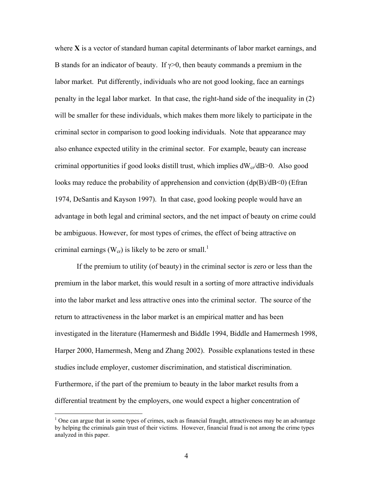where **X** is a vector of standard human capital determinants of labor market earnings, and B stands for an indicator of beauty. If  $\gamma$  >0, then beauty commands a premium in the labor market. Put differently, individuals who are not good looking, face an earnings penalty in the legal labor market. In that case, the right-hand side of the inequality in (2) will be smaller for these individuals, which makes them more likely to participate in the criminal sector in comparison to good looking individuals. Note that appearance may also enhance expected utility in the criminal sector. For example, beauty can increase criminal opportunities if good looks distill trust, which implies  $dW_{cr}/dB>0$ . Also good looks may reduce the probability of apprehension and conviction  $(dp(B)/dB<0)$  (Efran 1974, DeSantis and Kayson 1997). In that case, good looking people would have an advantage in both legal and criminal sectors, and the net impact of beauty on crime could be ambiguous. However, for most types of crimes, the effect of being attractive on criminal earnings ( $W_{cr}$ ) is likely to be zero or small.<sup>1</sup>

 If the premium to utility (of beauty) in the criminal sector is zero or less than the premium in the labor market, this would result in a sorting of more attractive individuals into the labor market and less attractive ones into the criminal sector. The source of the return to attractiveness in the labor market is an empirical matter and has been investigated in the literature (Hamermesh and Biddle 1994, Biddle and Hamermesh 1998, Harper 2000, Hamermesh, Meng and Zhang 2002). Possible explanations tested in these studies include employer, customer discrimination, and statistical discrimination. Furthermore, if the part of the premium to beauty in the labor market results from a differential treatment by the employers, one would expect a higher concentration of

 $\overline{a}$ 

 $1$  One can argue that in some types of crimes, such as financial fraught, attractiveness may be an advantage by helping the criminals gain trust of their victims. However, financial fraud is not among the crime types analyzed in this paper.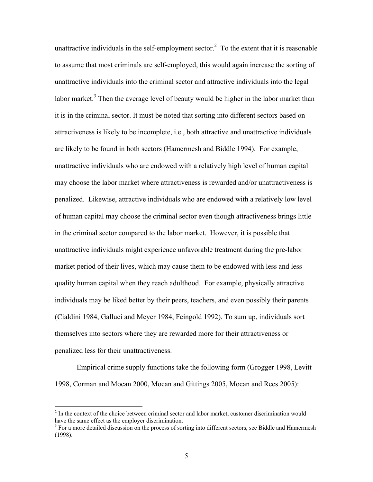unattractive individuals in the self-employment sector.<sup>2</sup> To the extent that it is reasonable to assume that most criminals are self-employed, this would again increase the sorting of unattractive individuals into the criminal sector and attractive individuals into the legal labor market.<sup>3</sup> Then the average level of beauty would be higher in the labor market than it is in the criminal sector. It must be noted that sorting into different sectors based on attractiveness is likely to be incomplete, i.e., both attractive and unattractive individuals are likely to be found in both sectors (Hamermesh and Biddle 1994). For example, unattractive individuals who are endowed with a relatively high level of human capital may choose the labor market where attractiveness is rewarded and/or unattractiveness is penalized. Likewise, attractive individuals who are endowed with a relatively low level of human capital may choose the criminal sector even though attractiveness brings little in the criminal sector compared to the labor market. However, it is possible that unattractive individuals might experience unfavorable treatment during the pre-labor market period of their lives, which may cause them to be endowed with less and less quality human capital when they reach adulthood. For example, physically attractive individuals may be liked better by their peers, teachers, and even possibly their parents (Cialdini 1984, Galluci and Meyer 1984, Feingold 1992). To sum up, individuals sort themselves into sectors where they are rewarded more for their attractiveness or penalized less for their unattractiveness.

Empirical crime supply functions take the following form (Grogger 1998, Levitt 1998, Corman and Mocan 2000, Mocan and Gittings 2005, Mocan and Rees 2005):

<sup>&</sup>lt;sup>2</sup> In the context of the choice between criminal sector and labor market, customer discrimination would have the same effect as the employer discrimination.

<sup>&</sup>lt;sup>3</sup> For a more detailed discussion on the process of sorting into different sectors, see Biddle and Hamermesh (1998).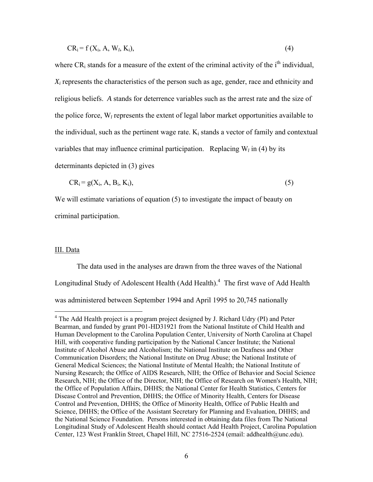$$
CR_i = f(X_i, A, W_l, K_i), \qquad (4)
$$

where  $CR_i$  stands for a measure of the extent of the criminal activity of the i<sup>th</sup> individual, *Xi* represents the characteristics of the person such as age, gender, race and ethnicity and religious beliefs. *A* stands for deterrence variables such as the arrest rate and the size of the police force,  $W_l$  represents the extent of legal labor market opportunities available to the individual, such as the pertinent wage rate.  $K_i$  stands a vector of family and contextual variables that may influence criminal participation. Replacing  $W_l$  in (4) by its determinants depicted in (3) gives

$$
CR_i = g(X_i, A, B_i, K_i), \qquad (5)
$$

We will estimate variations of equation (5) to investigate the impact of beauty on criminal participation.

#### III. Data

The data used in the analyses are drawn from the three waves of the National Longitudinal Study of Adolescent Health (Add Health). $<sup>4</sup>$  The first wave of Add Health</sup> was administered between September 1994 and April 1995 to 20,745 nationally

<sup>&</sup>lt;sup>4</sup> The Add Health project is a program project designed by J. Richard Udry (PI) and Peter Bearman, and funded by grant P01-HD31921 from the National Institute of Child Health and Human Development to the Carolina Population Center, University of North Carolina at Chapel Hill, with cooperative funding participation by the National Cancer Institute; the National Institute of Alcohol Abuse and Alcoholism; the National Institute on Deafness and Other Communication Disorders; the National Institute on Drug Abuse; the National Institute of General Medical Sciences; the National Institute of Mental Health; the National Institute of Nursing Research; the Office of AIDS Research, NIH; the Office of Behavior and Social Science Research, NIH; the Office of the Director, NIH; the Office of Research on Women's Health, NIH; the Office of Population Affairs, DHHS; the National Center for Health Statistics, Centers for Disease Control and Prevention, DHHS; the Office of Minority Health, Centers for Disease Control and Prevention, DHHS; the Office of Minority Health, Office of Public Health and Science, DHHS; the Office of the Assistant Secretary for Planning and Evaluation, DHHS; and the National Science Foundation. Persons interested in obtaining data files from The National Longitudinal Study of Adolescent Health should contact Add Health Project, Carolina Population Center, 123 West Franklin Street, Chapel Hill, NC 27516-2524 (email: addhealth@unc.edu).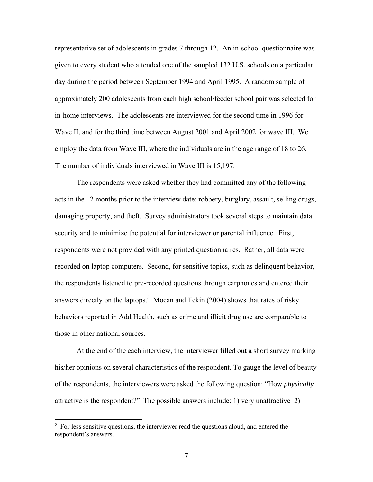representative set of adolescents in grades 7 through 12. An in-school questionnaire was given to every student who attended one of the sampled 132 U.S. schools on a particular day during the period between September 1994 and April 1995. A random sample of approximately 200 adolescents from each high school/feeder school pair was selected for in-home interviews. The adolescents are interviewed for the second time in 1996 for Wave II, and for the third time between August 2001 and April 2002 for wave III. We employ the data from Wave III, where the individuals are in the age range of 18 to 26. The number of individuals interviewed in Wave III is 15,197.

The respondents were asked whether they had committed any of the following acts in the 12 months prior to the interview date: robbery, burglary, assault, selling drugs, damaging property, and theft. Survey administrators took several steps to maintain data security and to minimize the potential for interviewer or parental influence. First, respondents were not provided with any printed questionnaires. Rather, all data were recorded on laptop computers. Second, for sensitive topics, such as delinquent behavior, the respondents listened to pre-recorded questions through earphones and entered their answers directly on the laptops.<sup>5</sup> Mocan and Tekin (2004) shows that rates of risky behaviors reported in Add Health, such as crime and illicit drug use are comparable to those in other national sources.

At the end of the each interview, the interviewer filled out a short survey marking his/her opinions on several characteristics of the respondent. To gauge the level of beauty of the respondents, the interviewers were asked the following question: "How *physically* attractive is the respondent?" The possible answers include: 1) very unattractive 2)

 $\overline{a}$ 

 $5$  For less sensitive questions, the interviewer read the questions aloud, and entered the respondent's answers.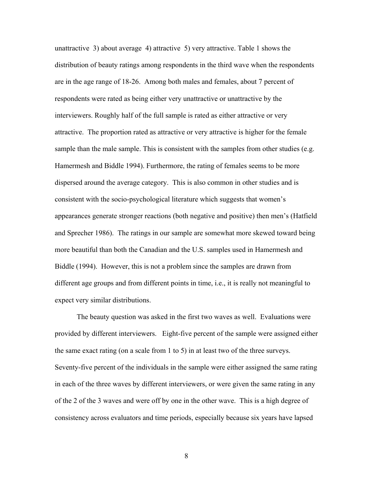unattractive 3) about average 4) attractive 5) very attractive. Table 1 shows the distribution of beauty ratings among respondents in the third wave when the respondents are in the age range of 18-26. Among both males and females, about 7 percent of respondents were rated as being either very unattractive or unattractive by the interviewers. Roughly half of the full sample is rated as either attractive or very attractive. The proportion rated as attractive or very attractive is higher for the female sample than the male sample. This is consistent with the samples from other studies (e.g. Hamermesh and Biddle 1994). Furthermore, the rating of females seems to be more dispersed around the average category. This is also common in other studies and is consistent with the socio-psychological literature which suggests that women's appearances generate stronger reactions (both negative and positive) then men's (Hatfield and Sprecher 1986). The ratings in our sample are somewhat more skewed toward being more beautiful than both the Canadian and the U.S. samples used in Hamermesh and Biddle (1994). However, this is not a problem since the samples are drawn from different age groups and from different points in time, i.e., it is really not meaningful to expect very similar distributions.

The beauty question was asked in the first two waves as well. Evaluations were provided by different interviewers. Eight-five percent of the sample were assigned either the same exact rating (on a scale from 1 to 5) in at least two of the three surveys. Seventy-five percent of the individuals in the sample were either assigned the same rating in each of the three waves by different interviewers, or were given the same rating in any of the 2 of the 3 waves and were off by one in the other wave. This is a high degree of consistency across evaluators and time periods, especially because six years have lapsed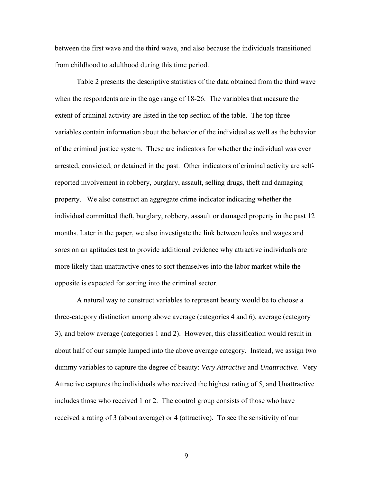between the first wave and the third wave, and also because the individuals transitioned from childhood to adulthood during this time period.

Table 2 presents the descriptive statistics of the data obtained from the third wave when the respondents are in the age range of 18-26. The variables that measure the extent of criminal activity are listed in the top section of the table. The top three variables contain information about the behavior of the individual as well as the behavior of the criminal justice system. These are indicators for whether the individual was ever arrested, convicted, or detained in the past. Other indicators of criminal activity are selfreported involvement in robbery, burglary, assault, selling drugs, theft and damaging property. We also construct an aggregate crime indicator indicating whether the individual committed theft, burglary, robbery, assault or damaged property in the past 12 months. Later in the paper, we also investigate the link between looks and wages and sores on an aptitudes test to provide additional evidence why attractive individuals are more likely than unattractive ones to sort themselves into the labor market while the opposite is expected for sorting into the criminal sector.

A natural way to construct variables to represent beauty would be to choose a three-category distinction among above average (categories 4 and 6), average (category 3), and below average (categories 1 and 2). However, this classification would result in about half of our sample lumped into the above average category. Instead, we assign two dummy variables to capture the degree of beauty: *Very Attractive* and *Unattractive*. Very Attractive captures the individuals who received the highest rating of 5, and Unattractive includes those who received 1 or 2. The control group consists of those who have received a rating of 3 (about average) or 4 (attractive). To see the sensitivity of our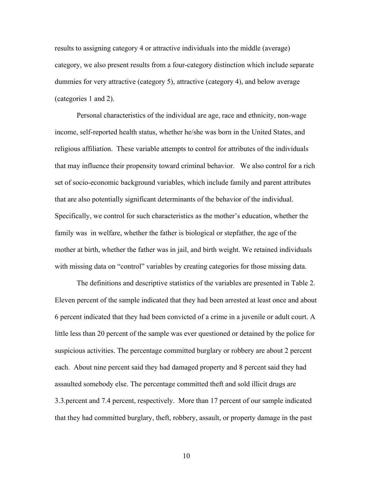results to assigning category 4 or attractive individuals into the middle (average) category, we also present results from a four-category distinction which include separate dummies for very attractive (category 5), attractive (category 4), and below average (categories 1 and 2).

Personal characteristics of the individual are age, race and ethnicity, non-wage income, self-reported health status, whether he/she was born in the United States, and religious affiliation. These variable attempts to control for attributes of the individuals that may influence their propensity toward criminal behavior. We also control for a rich set of socio-economic background variables, which include family and parent attributes that are also potentially significant determinants of the behavior of the individual. Specifically, we control for such characteristics as the mother's education, whether the family was in welfare, whether the father is biological or stepfather, the age of the mother at birth, whether the father was in jail, and birth weight. We retained individuals with missing data on "control" variables by creating categories for those missing data.

The definitions and descriptive statistics of the variables are presented in Table 2. Eleven percent of the sample indicated that they had been arrested at least once and about 6 percent indicated that they had been convicted of a crime in a juvenile or adult court. A little less than 20 percent of the sample was ever questioned or detained by the police for suspicious activities. The percentage committed burglary or robbery are about 2 percent each. About nine percent said they had damaged property and 8 percent said they had assaulted somebody else. The percentage committed theft and sold illicit drugs are 3.3.percent and 7.4 percent, respectively. More than 17 percent of our sample indicated that they had committed burglary, theft, robbery, assault, or property damage in the past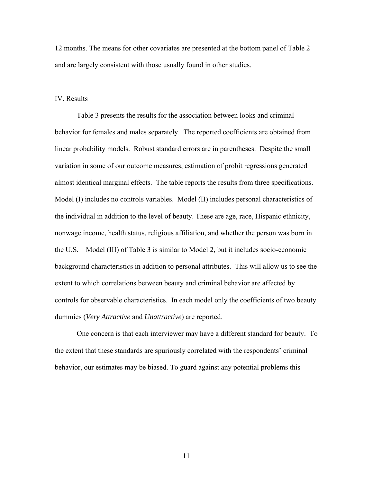12 months. The means for other covariates are presented at the bottom panel of Table 2 and are largely consistent with those usually found in other studies.

#### IV. Results

Table 3 presents the results for the association between looks and criminal behavior for females and males separately. The reported coefficients are obtained from linear probability models. Robust standard errors are in parentheses. Despite the small variation in some of our outcome measures, estimation of probit regressions generated almost identical marginal effects. The table reports the results from three specifications. Model (I) includes no controls variables. Model (II) includes personal characteristics of the individual in addition to the level of beauty. These are age, race, Hispanic ethnicity, nonwage income, health status, religious affiliation, and whether the person was born in the U.S. Model (III) of Table 3 is similar to Model 2, but it includes socio-economic background characteristics in addition to personal attributes. This will allow us to see the extent to which correlations between beauty and criminal behavior are affected by controls for observable characteristics. In each model only the coefficients of two beauty dummies (*Very Attractive* and *Unattractive*) are reported.

One concern is that each interviewer may have a different standard for beauty. To the extent that these standards are spuriously correlated with the respondents' criminal behavior, our estimates may be biased. To guard against any potential problems this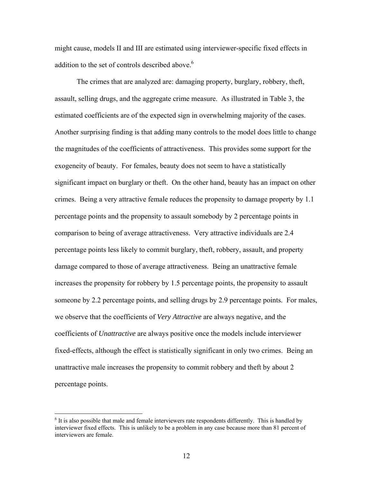might cause, models II and III are estimated using interviewer-specific fixed effects in addition to the set of controls described above.<sup>6</sup>

The crimes that are analyzed are: damaging property, burglary, robbery, theft, assault, selling drugs, and the aggregate crime measure. As illustrated in Table 3, the estimated coefficients are of the expected sign in overwhelming majority of the cases. Another surprising finding is that adding many controls to the model does little to change the magnitudes of the coefficients of attractiveness. This provides some support for the exogeneity of beauty. For females, beauty does not seem to have a statistically significant impact on burglary or theft. On the other hand, beauty has an impact on other crimes. Being a very attractive female reduces the propensity to damage property by 1.1 percentage points and the propensity to assault somebody by 2 percentage points in comparison to being of average attractiveness. Very attractive individuals are 2.4 percentage points less likely to commit burglary, theft, robbery, assault, and property damage compared to those of average attractiveness. Being an unattractive female increases the propensity for robbery by 1.5 percentage points, the propensity to assault someone by 2.2 percentage points, and selling drugs by 2.9 percentage points. For males, we observe that the coefficients of *Very Attractive* are always negative, and the coefficients of *Unattractive* are always positive once the models include interviewer fixed-effects, although the effect is statistically significant in only two crimes. Being an unattractive male increases the propensity to commit robbery and theft by about 2 percentage points.

 $\overline{a}$ 

 $<sup>6</sup>$  It is also possible that male and female interviewers rate respondents differently. This is handled by</sup> interviewer fixed effects. This is unlikely to be a problem in any case because more than 81 percent of interviewers are female.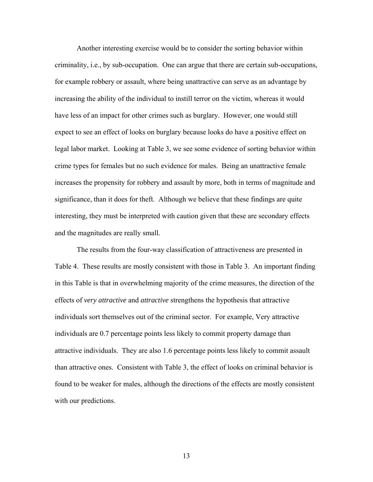Another interesting exercise would be to consider the sorting behavior within criminality, i.e., by sub-occupation. One can argue that there are certain sub-occupations, for example robbery or assault, where being unattractive can serve as an advantage by increasing the ability of the individual to instill terror on the victim, whereas it would have less of an impact for other crimes such as burglary. However, one would still expect to see an effect of looks on burglary because looks do have a positive effect on legal labor market. Looking at Table 3, we see some evidence of sorting behavior within crime types for females but no such evidence for males. Being an unattractive female increases the propensity for robbery and assault by more, both in terms of magnitude and significance, than it does for theft. Although we believe that these findings are quite interesting, they must be interpreted with caution given that these are secondary effects and the magnitudes are really small.

The results from the four-way classification of attractiveness are presented in Table 4. These results are mostly consistent with those in Table 3. An important finding in this Table is that in overwhelming majority of the crime measures, the direction of the effects of *very attractive* and *attractive* strengthens the hypothesis that attractive individuals sort themselves out of the criminal sector. For example, Very attractive individuals are 0.7 percentage points less likely to commit property damage than attractive individuals. They are also 1.6 percentage points less likely to commit assault than attractive ones. Consistent with Table 3, the effect of looks on criminal behavior is found to be weaker for males, although the directions of the effects are mostly consistent with our predictions.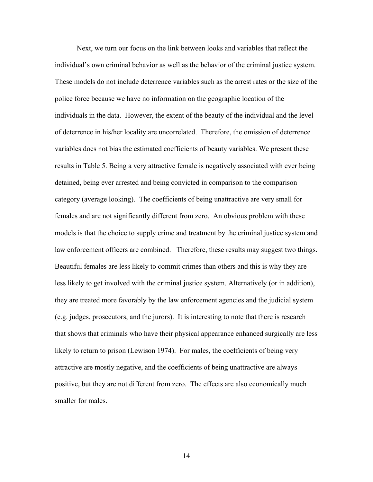Next, we turn our focus on the link between looks and variables that reflect the individual's own criminal behavior as well as the behavior of the criminal justice system. These models do not include deterrence variables such as the arrest rates or the size of the police force because we have no information on the geographic location of the individuals in the data. However, the extent of the beauty of the individual and the level of deterrence in his/her locality are uncorrelated. Therefore, the omission of deterrence variables does not bias the estimated coefficients of beauty variables. We present these results in Table 5. Being a very attractive female is negatively associated with ever being detained, being ever arrested and being convicted in comparison to the comparison category (average looking). The coefficients of being unattractive are very small for females and are not significantly different from zero. An obvious problem with these models is that the choice to supply crime and treatment by the criminal justice system and law enforcement officers are combined. Therefore, these results may suggest two things. Beautiful females are less likely to commit crimes than others and this is why they are less likely to get involved with the criminal justice system. Alternatively (or in addition), they are treated more favorably by the law enforcement agencies and the judicial system (e.g. judges, prosecutors, and the jurors). It is interesting to note that there is research that shows that criminals who have their physical appearance enhanced surgically are less likely to return to prison (Lewison 1974). For males, the coefficients of being very attractive are mostly negative, and the coefficients of being unattractive are always positive, but they are not different from zero. The effects are also economically much smaller for males.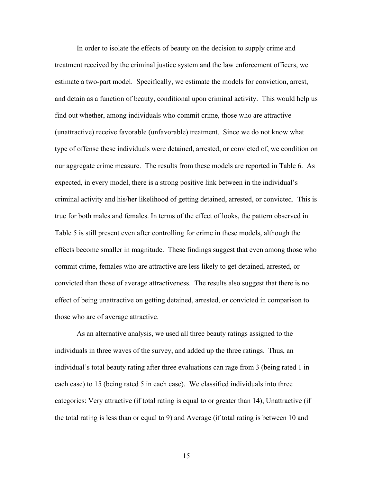In order to isolate the effects of beauty on the decision to supply crime and treatment received by the criminal justice system and the law enforcement officers, we estimate a two-part model. Specifically, we estimate the models for conviction, arrest, and detain as a function of beauty, conditional upon criminal activity. This would help us find out whether, among individuals who commit crime, those who are attractive (unattractive) receive favorable (unfavorable) treatment. Since we do not know what type of offense these individuals were detained, arrested, or convicted of, we condition on our aggregate crime measure. The results from these models are reported in Table 6. As expected, in every model, there is a strong positive link between in the individual's criminal activity and his/her likelihood of getting detained, arrested, or convicted. This is true for both males and females. In terms of the effect of looks, the pattern observed in Table 5 is still present even after controlling for crime in these models, although the effects become smaller in magnitude. These findings suggest that even among those who commit crime, females who are attractive are less likely to get detained, arrested, or convicted than those of average attractiveness. The results also suggest that there is no effect of being unattractive on getting detained, arrested, or convicted in comparison to those who are of average attractive.

 As an alternative analysis, we used all three beauty ratings assigned to the individuals in three waves of the survey, and added up the three ratings. Thus, an individual's total beauty rating after three evaluations can rage from 3 (being rated 1 in each case) to 15 (being rated 5 in each case). We classified individuals into three categories: Very attractive (if total rating is equal to or greater than 14), Unattractive (if the total rating is less than or equal to 9) and Average (if total rating is between 10 and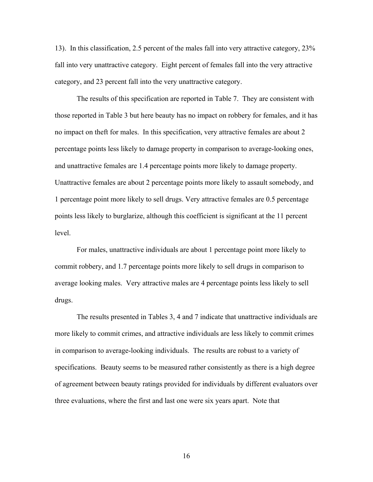13). In this classification, 2.5 percent of the males fall into very attractive category, 23% fall into very unattractive category. Eight percent of females fall into the very attractive category, and 23 percent fall into the very unattractive category.

The results of this specification are reported in Table 7. They are consistent with those reported in Table 3 but here beauty has no impact on robbery for females, and it has no impact on theft for males. In this specification, very attractive females are about 2 percentage points less likely to damage property in comparison to average-looking ones, and unattractive females are 1.4 percentage points more likely to damage property. Unattractive females are about 2 percentage points more likely to assault somebody, and 1 percentage point more likely to sell drugs. Very attractive females are 0.5 percentage points less likely to burglarize, although this coefficient is significant at the 11 percent level.

For males, unattractive individuals are about 1 percentage point more likely to commit robbery, and 1.7 percentage points more likely to sell drugs in comparison to average looking males. Very attractive males are 4 percentage points less likely to sell drugs.

The results presented in Tables 3, 4 and 7 indicate that unattractive individuals are more likely to commit crimes, and attractive individuals are less likely to commit crimes in comparison to average-looking individuals. The results are robust to a variety of specifications. Beauty seems to be measured rather consistently as there is a high degree of agreement between beauty ratings provided for individuals by different evaluators over three evaluations, where the first and last one were six years apart. Note that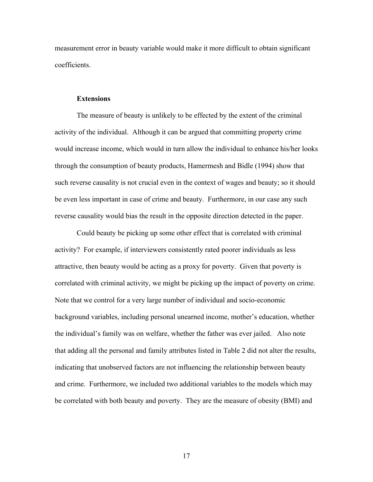measurement error in beauty variable would make it more difficult to obtain significant coefficients.

#### **Extensions**

The measure of beauty is unlikely to be effected by the extent of the criminal activity of the individual. Although it can be argued that committing property crime would increase income, which would in turn allow the individual to enhance his/her looks through the consumption of beauty products, Hamermesh and Bidle (1994) show that such reverse causality is not crucial even in the context of wages and beauty; so it should be even less important in case of crime and beauty. Furthermore, in our case any such reverse causality would bias the result in the opposite direction detected in the paper.

 Could beauty be picking up some other effect that is correlated with criminal activity? For example, if interviewers consistently rated poorer individuals as less attractive, then beauty would be acting as a proxy for poverty. Given that poverty is correlated with criminal activity, we might be picking up the impact of poverty on crime. Note that we control for a very large number of individual and socio-economic background variables, including personal unearned income, mother's education, whether the individual's family was on welfare, whether the father was ever jailed. Also note that adding all the personal and family attributes listed in Table 2 did not alter the results, indicating that unobserved factors are not influencing the relationship between beauty and crime. Furthermore, we included two additional variables to the models which may be correlated with both beauty and poverty. They are the measure of obesity (BMI) and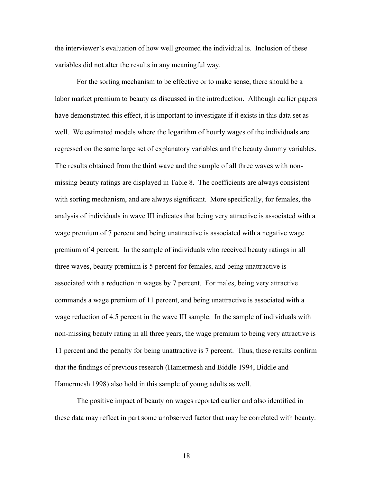the interviewer's evaluation of how well groomed the individual is. Inclusion of these variables did not alter the results in any meaningful way.

 For the sorting mechanism to be effective or to make sense, there should be a labor market premium to beauty as discussed in the introduction. Although earlier papers have demonstrated this effect, it is important to investigate if it exists in this data set as well. We estimated models where the logarithm of hourly wages of the individuals are regressed on the same large set of explanatory variables and the beauty dummy variables. The results obtained from the third wave and the sample of all three waves with nonmissing beauty ratings are displayed in Table 8. The coefficients are always consistent with sorting mechanism, and are always significant. More specifically, for females, the analysis of individuals in wave III indicates that being very attractive is associated with a wage premium of 7 percent and being unattractive is associated with a negative wage premium of 4 percent. In the sample of individuals who received beauty ratings in all three waves, beauty premium is 5 percent for females, and being unattractive is associated with a reduction in wages by 7 percent. For males, being very attractive commands a wage premium of 11 percent, and being unattractive is associated with a wage reduction of 4.5 percent in the wave III sample. In the sample of individuals with non-missing beauty rating in all three years, the wage premium to being very attractive is 11 percent and the penalty for being unattractive is 7 percent. Thus, these results confirm that the findings of previous research (Hamermesh and Biddle 1994, Biddle and Hamermesh 1998) also hold in this sample of young adults as well.

The positive impact of beauty on wages reported earlier and also identified in these data may reflect in part some unobserved factor that may be correlated with beauty.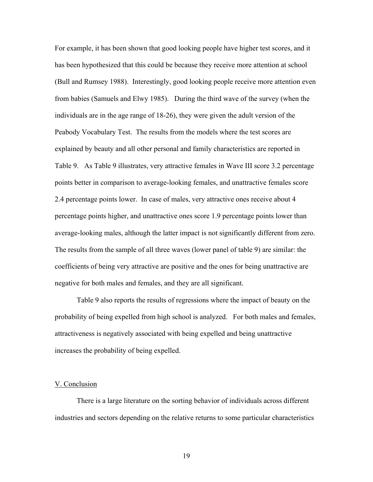For example, it has been shown that good looking people have higher test scores, and it has been hypothesized that this could be because they receive more attention at school (Bull and Rumsey 1988). Interestingly, good looking people receive more attention even from babies (Samuels and Elwy 1985). During the third wave of the survey (when the individuals are in the age range of 18-26), they were given the adult version of the Peabody Vocabulary Test. The results from the models where the test scores are explained by beauty and all other personal and family characteristics are reported in Table 9. As Table 9 illustrates, very attractive females in Wave III score 3.2 percentage points better in comparison to average-looking females, and unattractive females score 2.4 percentage points lower. In case of males, very attractive ones receive about 4 percentage points higher, and unattractive ones score 1.9 percentage points lower than average-looking males, although the latter impact is not significantly different from zero. The results from the sample of all three waves (lower panel of table 9) are similar: the coefficients of being very attractive are positive and the ones for being unattractive are negative for both males and females, and they are all significant.

Table 9 also reports the results of regressions where the impact of beauty on the probability of being expelled from high school is analyzed. For both males and females, attractiveness is negatively associated with being expelled and being unattractive increases the probability of being expelled.

#### V. Conclusion

There is a large literature on the sorting behavior of individuals across different industries and sectors depending on the relative returns to some particular characteristics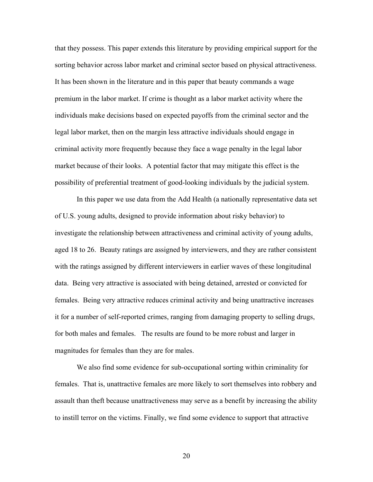that they possess. This paper extends this literature by providing empirical support for the sorting behavior across labor market and criminal sector based on physical attractiveness. It has been shown in the literature and in this paper that beauty commands a wage premium in the labor market. If crime is thought as a labor market activity where the individuals make decisions based on expected payoffs from the criminal sector and the legal labor market, then on the margin less attractive individuals should engage in criminal activity more frequently because they face a wage penalty in the legal labor market because of their looks. A potential factor that may mitigate this effect is the possibility of preferential treatment of good-looking individuals by the judicial system.

In this paper we use data from the Add Health (a nationally representative data set of U.S. young adults, designed to provide information about risky behavior) to investigate the relationship between attractiveness and criminal activity of young adults, aged 18 to 26. Beauty ratings are assigned by interviewers, and they are rather consistent with the ratings assigned by different interviewers in earlier waves of these longitudinal data. Being very attractive is associated with being detained, arrested or convicted for females. Being very attractive reduces criminal activity and being unattractive increases it for a number of self-reported crimes, ranging from damaging property to selling drugs, for both males and females. The results are found to be more robust and larger in magnitudes for females than they are for males.

We also find some evidence for sub-occupational sorting within criminality for females. That is, unattractive females are more likely to sort themselves into robbery and assault than theft because unattractiveness may serve as a benefit by increasing the ability to instill terror on the victims. Finally, we find some evidence to support that attractive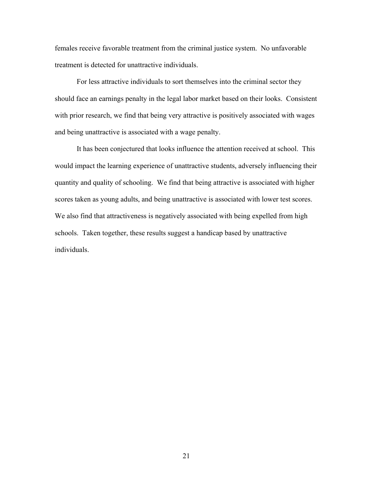females receive favorable treatment from the criminal justice system. No unfavorable treatment is detected for unattractive individuals.

For less attractive individuals to sort themselves into the criminal sector they should face an earnings penalty in the legal labor market based on their looks. Consistent with prior research, we find that being very attractive is positively associated with wages and being unattractive is associated with a wage penalty.

It has been conjectured that looks influence the attention received at school. This would impact the learning experience of unattractive students, adversely influencing their quantity and quality of schooling. We find that being attractive is associated with higher scores taken as young adults, and being unattractive is associated with lower test scores. We also find that attractiveness is negatively associated with being expelled from high schools. Taken together, these results suggest a handicap based by unattractive individuals.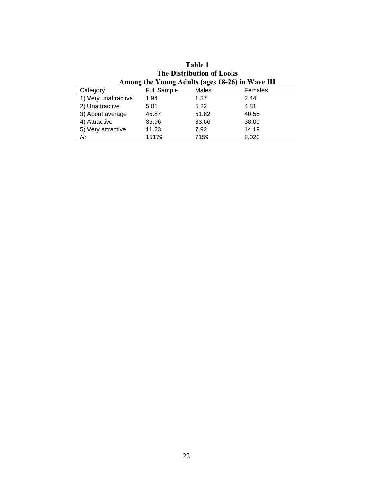| Among the Young Adults (ages 18-26) in Wave III |                    |       |         |  |  |  |  |  |
|-------------------------------------------------|--------------------|-------|---------|--|--|--|--|--|
| Category                                        | <b>Full Sample</b> | Males | Females |  |  |  |  |  |
| 1) Very unattractive                            | 1.94               | 1.37  | 2.44    |  |  |  |  |  |
| 2) Unattractive                                 | 5.01               | 5.22  | 4.81    |  |  |  |  |  |
| 3) About average                                | 45.87              | 51.82 | 40.55   |  |  |  |  |  |
| 4) Attractive                                   | 35.96              | 33.66 | 38.00   |  |  |  |  |  |
| 5) Very attractive                              | 11.23              | 7.92  | 14.19   |  |  |  |  |  |
| N:                                              | 15179              | 7159  | 8,020   |  |  |  |  |  |

**Table 1 The Distribution of Looks Among the Young Adults (ages 18-26) in Wave III**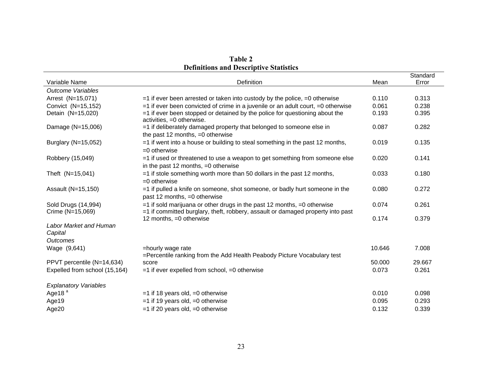| Variable Name                           | Definition                                                                                                                                                          | Mean   | Standard<br>Error |
|-----------------------------------------|---------------------------------------------------------------------------------------------------------------------------------------------------------------------|--------|-------------------|
| <b>Outcome Variables</b>                |                                                                                                                                                                     |        |                   |
| Arrest (N=15,071)                       | $=$ 1 if ever been arrested or taken into custody by the police, $=$ 0 otherwise                                                                                    | 0.110  | 0.313             |
| Convict (N=15,152)                      | $=$ 1 if ever been convicted of crime in a juvenile or an adult court, $=$ 0 otherwise                                                                              | 0.061  | 0.238             |
| Detain (N=15,020)                       | $=$ 1 if ever been stopped or detained by the police for questioning about the<br>activities, =0 otherwise.                                                         | 0.193  | 0.395             |
| Damage (N=15,006)                       | =1 if deliberately damaged property that belonged to someone else in<br>the past 12 months, $=0$ otherwise                                                          | 0.087  | 0.282             |
| Burglary (N=15,052)                     | $=$ 1 if went into a house or building to steal something in the past 12 months,<br>$=0$ otherwise                                                                  | 0.019  | 0.135             |
| Robbery (15,049)                        | =1 if used or threatened to use a weapon to get something from someone else<br>in the past 12 months, $=0$ otherwise                                                | 0.020  | 0.141             |
| Theft (N=15,041)                        | $=$ 1 if stole something worth more than 50 dollars in the past 12 months,<br>$=0$ otherwise                                                                        | 0.033  | 0.180             |
| Assault (N=15,150)                      | =1 if pulled a knife on someone, shot someone, or badly hurt someone in the<br>past 12 months, =0 otherwise                                                         | 0.080  | 0.272             |
| Sold Drugs (14,994)<br>Crime (N=15,069) | $=$ 1 if sold marijuana or other drugs in the past 12 months, $=$ 0 otherwise<br>$=$ 1 if committed burglary, theft, robbery, assault or damaged property into past | 0.074  | 0.261             |
|                                         | 12 months, =0 otherwise                                                                                                                                             | 0.174  | 0.379             |
| Labor Market and Human<br>Capital       |                                                                                                                                                                     |        |                   |
| <b>Outcomes</b>                         |                                                                                                                                                                     |        |                   |
| Wage (9,641)                            | =hourly wage rate<br>=Percentile ranking from the Add Health Peabody Picture Vocabulary test                                                                        | 10.646 | 7.008             |
| PPVT percentile (N=14,634)              | score                                                                                                                                                               | 50.000 | 29.667            |
| Expelled from school (15,164)           | $=$ 1 if ever expelled from school, $=$ 0 otherwise                                                                                                                 | 0.073  | 0.261             |
| <b>Explanatory Variables</b>            |                                                                                                                                                                     |        |                   |
| Age18 <sup>ª</sup>                      | $=1$ if 18 years old, $=0$ otherwise                                                                                                                                | 0.010  | 0.098             |
| Age19                                   | $=1$ if 19 years old, $=0$ otherwise                                                                                                                                | 0.095  | 0.293             |
| Age20                                   | $=1$ if 20 years old, $=0$ otherwise                                                                                                                                | 0.132  | 0.339             |

| Table 2                                       |  |
|-----------------------------------------------|--|
| <b>Definitions and Descriptive Statistics</b> |  |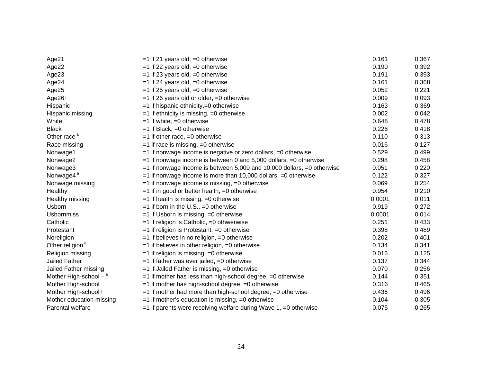| Age21                               | $=1$ if 21 years old, $=0$ otherwise                                         | 0.161  | 0.367 |
|-------------------------------------|------------------------------------------------------------------------------|--------|-------|
| Age22                               | $=1$ if 22 years old, $=0$ otherwise                                         | 0.190  | 0.392 |
| Age23                               | $=1$ if 23 years old, $=0$ otherwise                                         | 0.191  | 0.393 |
| Age24                               | $=1$ if 24 years old, $=0$ otherwise                                         | 0.161  | 0.368 |
| Age25                               | $=1$ if 25 years old, $=0$ otherwise                                         | 0.052  | 0.221 |
| $Age26+$                            | $=$ 1 if 26 years old or older, $=$ 0 otherwise                              | 0.009  | 0.093 |
| Hispanic                            | $=$ 1 if hispanic ethnicity, $=$ 0 otherwise                                 | 0.163  | 0.369 |
| Hispanic missing                    | $=$ 1 if ethnicity is missing, $=$ 0 otherwise                               | 0.002  | 0.042 |
| White                               | $=1$ if white, $=0$ otherwise                                                | 0.648  | 0.478 |
| <b>Black</b>                        | $=1$ if Black, $=0$ otherwise                                                | 0.226  | 0.418 |
| Other race <sup>a</sup>             | $=$ 1 if other race, $=$ 0 otherwise                                         | 0.110  | 0.313 |
| Race missing                        | $=$ 1 if race is missing, $=$ 0 otherwise                                    | 0.016  | 0.127 |
| Nonwage1                            | $=$ 1 if nonwage income is negative or zero dollars, $=$ 0 otherwise         | 0.529  | 0.499 |
| Nonwage2                            | $=$ 1 if nonwage income is between 0 and 5,000 dollars, $=$ 0 otherwise      | 0.298  | 0.458 |
| Nonwage3                            | $=$ 1 if nonwage income is between 5,000 and 10,000 dollars, $=$ 0 otherwise | 0.051  | 0.220 |
| Nonwage4 <sup>a</sup>               | $=$ 1 if nonwage income is more than 10,000 dollars, $=$ 0 otherwise         | 0.122  | 0.327 |
| Nonwage missing                     | $=$ 1 if nonwage income is missing, $=$ 0 otherwise                          | 0.069  | 0.254 |
| Healthy                             | $=$ 1 if in good or better health, $=$ 0 otherwise                           | 0.954  | 0.210 |
| Healthy missing                     | $=$ 1 if health is missing, $=$ 0 otherwise                                  | 0.0001 | 0.011 |
| Usborn                              | $=$ 1 if born in the U.S., $=$ 0 otherwise                                   | 0.919  | 0.272 |
| <b>Usbornmiss</b>                   | $=$ 1 if Usborn is missing, $=$ 0 otherwise                                  | 0.0001 | 0.014 |
| Catholic                            | =1 if religion is Catholic, =0 othwerwise                                    | 0.251  | 0.433 |
| Protestant                          | $=$ 1 if religion is Protestant, $=$ 0 otherwise                             | 0.398  | 0.489 |
| Noreligion                          | $=$ 1 if believes in no religion, $=$ 0 otherwise                            | 0.202  | 0.401 |
| Other religion <sup>a</sup>         | =1 if believes in other religion, =0 otherwise                               | 0.134  | 0.341 |
| Religion missing                    | $=$ 1 if religion is missing, $=$ 0 otherwise                                | 0.016  | 0.125 |
| <b>Jailed Father</b>                | $=$ 1 if father was ever jailed, $=$ 0 otherwise                             | 0.137  | 0.344 |
| Jailed Father missing               | $=$ 1 if Jailed Father is missing, $=$ 0 otherwise                           | 0.070  | 0.256 |
| Mother High-school $-$ <sup>a</sup> | $=$ 1 if mother has less than high-school degree, $=$ 0 otherwise            | 0.144  | 0.351 |
| Mother High-school                  | $=1$ if mother has high-school degree, $=0$ otherwise                        | 0.316  | 0.465 |
| Mother High-school+                 | $=$ 1 if mother had more than high-school degree, $=$ 0 otherwise            | 0.436  | 0.496 |
| Mother education missing            | $=$ 1 if mother's education is missing, $=$ 0 otherwise                      | 0.104  | 0.305 |
| Parental welfare                    | $=$ 1 if parents were receiving welfare during Wave 1, $=$ 0 otherwise       | 0.075  | 0.265 |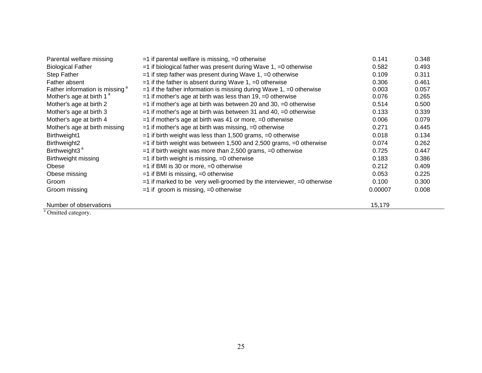| Parental welfare missing                   | $=$ 1 if parental welfare is missing, $=$ 0 otherwise                       | 0.141   | 0.348 |
|--------------------------------------------|-----------------------------------------------------------------------------|---------|-------|
| <b>Biological Father</b>                   | $=$ 1 if biological father was present during Wave 1, $=$ 0 otherwise       | 0.582   | 0.493 |
| <b>Step Father</b>                         | $=$ 1 if step father was present during Wave 1, $=$ 0 otherwise             | 0.109   | 0.311 |
| Father absent                              | $=$ 1 if the father is absent during Wave 1, $=$ 0 otherwise                | 0.306   | 0.461 |
| Father information is missing <sup>a</sup> | $=$ 1 if the father information is missing during Wave 1, $=$ 0 otherwise   | 0.003   | 0.057 |
| Mother's age at birth 1 <sup>a</sup>       | $=$ 1 if mother's age at birth was less than 19, $=$ 0 otherwise            | 0.076   | 0.265 |
| Mother's age at birth 2                    | $=$ 1 if mother's age at birth was between 20 and 30, $=$ 0 otherwise       | 0.514   | 0.500 |
| Mother's age at birth 3                    | $=$ 1 if mother's age at birth was between 31 and 40, $=$ 0 otherwise       | 0.133   | 0.339 |
| Mother's age at birth 4                    | $=$ 1 if mother's age at birth was 41 or more, $=$ 0 otherwise              | 0.006   | 0.079 |
| Mother's age at birth missing              | $=$ 1 if mother's age at birth was missing, $=$ 0 otherwise                 | 0.271   | 0.445 |
| Birthweight1                               | $=$ 1 if birth weight was less than 1,500 grams, $=$ 0 otherwise            | 0.018   | 0.134 |
| Birthweight2                               | $=$ 1 if birth weight was between 1,500 and 2,500 grams, $=$ 0 otherwise    | 0.074   | 0.262 |
| Birthweight3 <sup>a</sup>                  | $=$ 1 if birth weight was more than 2,500 grams, $=$ 0 otherwise            | 0.725   | 0.447 |
| Birthweight missing                        | $=$ 1 if birth weight is missing, $=$ 0 otherwise                           | 0.183   | 0.386 |
| Obese                                      | $=1$ if BMI is 30 or more, $=0$ otherwise                                   | 0.212   | 0.409 |
| Obese missing                              | $=$ 1 if BMI is missing, $=$ 0 otherwise                                    | 0.053   | 0.225 |
| Groom                                      | $=$ 1 if marked to be very well-groomed by the interviewer, $=$ 0 otherwise | 0.100   | 0.300 |
| Groom missing                              | $=1$ if groom is missing, $=0$ otherwise                                    | 0.00007 | 0.008 |
| Number of observations                     |                                                                             | 15,179  |       |

<sup>a</sup> Omitted category.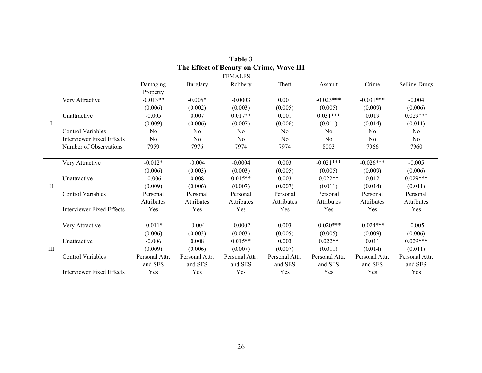|              | The Effect of Beauty on Crime, Wave III |                |                 |                   |                |                |                   |                      |  |
|--------------|-----------------------------------------|----------------|-----------------|-------------------|----------------|----------------|-------------------|----------------------|--|
|              |                                         |                |                 | <b>FEMALES</b>    |                |                |                   |                      |  |
|              |                                         | Damaging       | <b>Burglary</b> | Robbery           | Theft          | Assault        | Crime             | <b>Selling Drugs</b> |  |
|              |                                         | Property       |                 |                   |                |                |                   |                      |  |
|              | Very Attractive                         | $-0.013**$     | $-0.005*$       | $-0.0003$         | 0.001          | $-0.023***$    | $-0.031***$       | $-0.004$             |  |
|              |                                         | (0.006)        | (0.002)         | (0.003)           | (0.005)        | (0.005)        | (0.009)           | (0.006)              |  |
|              | Unattractive                            | $-0.005$       | 0.007           | $0.017**$         | 0.001          | $0.031***$     | 0.019             | $0.029***$           |  |
|              |                                         | (0.009)        | (0.006)         | (0.007)           | (0.006)        | (0.011)        | (0.014)           | (0.011)              |  |
|              | <b>Control Variables</b>                | N <sub>0</sub> | N <sub>0</sub>  | N <sub>0</sub>    | N <sub>0</sub> | N <sub>0</sub> | N <sub>0</sub>    | N <sub>0</sub>       |  |
|              | <b>Interviewer Fixed Effects</b>        | No             | No              | No                | No             | N <sub>0</sub> | No                | No                   |  |
|              | Number of Observations                  | 7959           | 7976            | 7974              | 7974           | 8003           | 7966              | 7960                 |  |
|              |                                         |                |                 |                   |                |                |                   |                      |  |
|              | Very Attractive                         | $-0.012*$      | $-0.004$        | $-0.0004$         | 0.003          | $-0.021***$    | $-0.026***$       | $-0.005$             |  |
|              |                                         | (0.006)        | (0.003)         | (0.003)           | (0.005)        | (0.005)        | (0.009)           | (0.006)              |  |
|              | Unattractive                            | $-0.006$       | 0.008           | $0.015**$         | 0.003          | $0.022**$      | 0.012             | $0.029***$           |  |
| $\mathbf{I}$ |                                         | (0.009)        | (0.006)         | (0.007)           | (0.007)        | (0.011)        | (0.014)           | (0.011)              |  |
|              | <b>Control Variables</b>                | Personal       | Personal        | Personal          | Personal       | Personal       | Personal          | Personal             |  |
|              |                                         | Attributes     | Attributes      | <b>Attributes</b> | Attributes     | Attributes     | <b>Attributes</b> | Attributes           |  |
|              | <b>Interviewer Fixed Effects</b>        | Yes            | Yes             | Yes               | Yes            | Yes            | Yes               | Yes                  |  |
|              |                                         |                |                 |                   |                |                |                   |                      |  |
|              | Very Attractive                         | $-0.011*$      | $-0.004$        | $-0.0002$         | 0.003          | $-0.020***$    | $-0.024***$       | $-0.005$             |  |
|              |                                         | (0.006)        | (0.003)         | (0.003)           | (0.005)        | (0.005)        | (0.009)           | (0.006)              |  |
|              | Unattractive                            | $-0.006$       | 0.008           | $0.015**$         | 0.003          | $0.022**$      | 0.011             | $0.029***$           |  |
| Ш            |                                         | (0.009)        | (0.006)         | (0.007)           | (0.007)        | (0.011)        | (0.014)           | (0.011)              |  |
|              | <b>Control Variables</b>                | Personal Attr. | Personal Attr.  | Personal Attr.    | Personal Attr. | Personal Attr. | Personal Attr.    | Personal Attr.       |  |
|              |                                         | and SES        | and SES         | and SES           | and SES        | and SES        | and SES           | and SES              |  |
|              | <b>Interviewer Fixed Effects</b>        | Yes            | Yes             | Yes               | Yes            | Yes            | Yes               | Yes                  |  |

| Table 3                                 |  |  |  |  |  |
|-----------------------------------------|--|--|--|--|--|
| The Effect of Beauty on Crime, Wave III |  |  |  |  |  |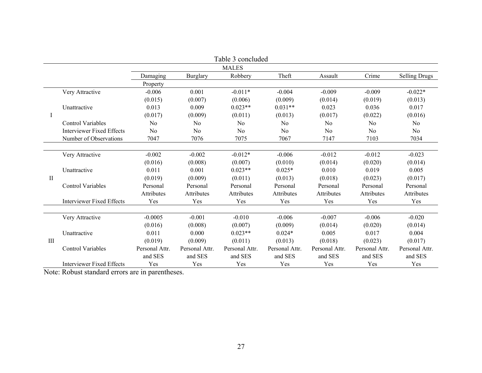|              | Table 3 concluded                |                |                 |                |                |                |                |                      |
|--------------|----------------------------------|----------------|-----------------|----------------|----------------|----------------|----------------|----------------------|
|              | <b>MALES</b>                     |                |                 |                |                |                |                |                      |
|              |                                  | Damaging       | <b>Burglary</b> | Robbery        | Theft          | Assault        | Crime          | <b>Selling Drugs</b> |
|              |                                  | Property       |                 |                |                |                |                |                      |
|              | Very Attractive                  | $-0.006$       | 0.001           | $-0.011*$      | $-0.004$       | $-0.009$       | $-0.009$       | $-0.022*$            |
|              |                                  | (0.015)        | (0.007)         | (0.006)        | (0.009)        | (0.014)        | (0.019)        | (0.013)              |
|              | Unattractive                     | 0.013          | 0.009           | $0.023**$      | $0.031**$      | 0.023          | 0.036          | 0.017                |
|              |                                  | (0.017)        | (0.009)         | (0.011)        | (0.013)        | (0.017)        | (0.022)        | (0.016)              |
|              | <b>Control Variables</b>         | N <sub>0</sub> | N <sub>0</sub>  | N <sub>0</sub> | N <sub>0</sub> | No             | No             | N <sub>0</sub>       |
|              | Interviewer Fixed Effects        | N <sub>0</sub> | N <sub>0</sub>  | N <sub>o</sub> | N <sub>0</sub> | N <sub>0</sub> | No             | No                   |
|              | Number of Observations           | 7047           | 7076            | 7075           | 7067           | 7147           | 7103           | 7034                 |
|              |                                  |                |                 |                |                |                |                |                      |
|              | Very Attractive                  | $-0.002$       | $-0.002$        | $-0.012*$      | $-0.006$       | $-0.012$       | $-0.012$       | $-0.023$             |
|              |                                  | (0.016)        | (0.008)         | (0.007)        | (0.010)        | (0.014)        | (0.020)        | (0.014)              |
|              | Unattractive                     | 0.011          | 0.001           | $0.023**$      | $0.025*$       | 0.010          | 0.019          | 0.005                |
| $\mathbf{I}$ |                                  | (0.019)        | (0.009)         | (0.011)        | (0.013)        | (0.018)        | (0.023)        | (0.017)              |
|              | <b>Control Variables</b>         | Personal       | Personal        | Personal       | Personal       | Personal       | Personal       | Personal             |
|              |                                  | Attributes     | Attributes      | Attributes     | Attributes     | Attributes     | Attributes     | Attributes           |
|              | <b>Interviewer Fixed Effects</b> | Yes            | Yes             | Yes            | Yes            | Yes            | Yes            | Yes                  |
|              |                                  |                |                 |                |                |                |                |                      |
|              | Very Attractive                  | $-0.0005$      | $-0.001$        | $-0.010$       | $-0.006$       | $-0.007$       | $-0.006$       | $-0.020$             |
|              |                                  | (0.016)        | (0.008)         | (0.007)        | (0.009)        | (0.014)        | (0.020)        | (0.014)              |
|              | Unattractive                     | 0.011          | 0.000           | $0.023**$      | $0.024*$       | 0.005          | 0.017          | 0.004                |
| Ш            |                                  | (0.019)        | (0.009)         | (0.011)        | (0.013)        | (0.018)        | (0.023)        | (0.017)              |
|              | <b>Control Variables</b>         | Personal Attr. | Personal Attr.  | Personal Attr. | Personal Attr. | Personal Attr. | Personal Attr. | Personal Attr.       |
|              |                                  | and SES        | and SES         | and SES        | and SES        | and SES        | and SES        | and SES              |
|              | <b>Interviewer Fixed Effects</b> | Yes            | Yes             | Yes            | Yes            | Yes            | Yes            | Yes                  |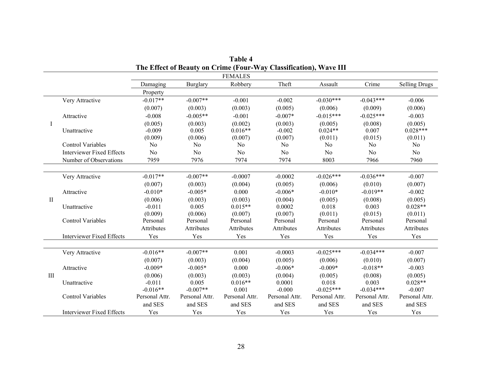|                    | The Effect of Beauty on Crime (Four-Way Classification), Wave III |                |                 |                |                |                |                |                      |  |
|--------------------|-------------------------------------------------------------------|----------------|-----------------|----------------|----------------|----------------|----------------|----------------------|--|
|                    | <b>FEMALES</b>                                                    |                |                 |                |                |                |                |                      |  |
|                    |                                                                   | Damaging       | <b>Burglary</b> | Robbery        | Theft          | Assault        | Crime          | <b>Selling Drugs</b> |  |
|                    |                                                                   | Property       |                 |                |                |                |                |                      |  |
|                    | Very Attractive                                                   | $-0.017**$     | $-0.007**$      | $-0.001$       | $-0.002$       | $-0.030***$    | $-0.043***$    | $-0.006$             |  |
|                    |                                                                   | (0.007)        | (0.003)         | (0.003)        | (0.005)        | (0.006)        | (0.009)        | (0.006)              |  |
|                    | Attractive                                                        | $-0.008$       | $-0.005**$      | $-0.001$       | $-0.007*$      | $-0.015***$    | $-0.025***$    | $-0.003$             |  |
| I                  |                                                                   | (0.005)        | (0.003)         | (0.002)        | (0.003)        | (0.005)        | (0.008)        | (0.005)              |  |
|                    | Unattractive                                                      | $-0.009$       | 0.005           | $0.016**$      | $-0.002$       | $0.024**$      | 0.007          | $0.028***$           |  |
|                    |                                                                   | (0.009)        | (0.006)         | (0.007)        | (0.007)        | (0.011)        | (0.015)        | (0.011)              |  |
|                    | <b>Control Variables</b>                                          | No             | N <sub>0</sub>  | N <sub>0</sub> | No             | N <sub>0</sub> | N <sub>0</sub> | N <sub>0</sub>       |  |
|                    | <b>Interviewer Fixed Effects</b>                                  | N <sub>o</sub> | N <sub>o</sub>  | N <sub>o</sub> | N <sub>o</sub> | N <sub>0</sub> | No             | No                   |  |
|                    | Number of Observations                                            | 7959           | 7976            | 7974           | 7974           | 8003           | 7966           | 7960                 |  |
|                    |                                                                   |                |                 |                |                |                |                |                      |  |
|                    | Very Attractive                                                   | $-0.017**$     | $-0.007**$      | $-0.0007$      | $-0.0002$      | $-0.026***$    | $-0.036***$    | $-0.007$             |  |
|                    |                                                                   | (0.007)        | (0.003)         | (0.004)        | (0.005)        | (0.006)        | (0.010)        | (0.007)              |  |
|                    | Attractive                                                        | $-0.010*$      | $-0.005*$       | 0.000          | $-0.006*$      | $-0.010*$      | $-0.019**$     | $-0.002$             |  |
| $\rm II$           |                                                                   | (0.006)        | (0.003)         | (0.003)        | (0.004)        | (0.005)        | (0.008)        | (0.005)              |  |
|                    | Unattractive                                                      | $-0.011$       | 0.005           | $0.015**$      | 0.0002         | 0.018          | 0.003          | $0.028**$            |  |
|                    |                                                                   | (0.009)        | (0.006)         | (0.007)        | (0.007)        | (0.011)        | (0.015)        | (0.011)              |  |
|                    | <b>Control Variables</b>                                          | Personal       | Personal        | Personal       | Personal       | Personal       | Personal       | Personal             |  |
|                    |                                                                   | Attributes     | Attributes      | Attributes     | Attributes     | Attributes     | Attributes     | Attributes           |  |
|                    | <b>Interviewer Fixed Effects</b>                                  | Yes            | Yes             | Yes            | Yes            | Yes            | Yes            | Yes                  |  |
|                    |                                                                   |                |                 |                |                |                |                |                      |  |
|                    | Very Attractive                                                   | $-0.016**$     | $-0.007**$      | 0.001          | $-0.0003$      | $-0.025***$    | $-0.034***$    | $-0.007$             |  |
|                    |                                                                   | (0.007)        | (0.003)         | (0.004)        | (0.005)        | (0.006)        | (0.010)        | (0.007)              |  |
|                    | Attractive                                                        | $-0.009*$      | $-0.005*$       | 0.000          | $-0.006*$      | $-0.009*$      | $-0.018**$     | $-0.003$             |  |
| $\mathop{\rm III}$ |                                                                   | (0.006)        | (0.003)         | (0.003)        | (0.004)        | (0.005)        | (0.008)        | (0.005)              |  |
|                    | Unattractive                                                      | $-0.011$       | 0.005           | $0.016**$      | 0.0001         | 0.018          | 0.003          | $0.028**$            |  |
|                    |                                                                   | $-0.016**$     | $-0.007**$      | 0.001          | $-0.000$       | $-0.025***$    | $-0.034***$    | $-0.007$             |  |
|                    | <b>Control Variables</b>                                          | Personal Attr. | Personal Attr.  | Personal Attr. | Personal Attr. | Personal Attr. | Personal Attr. | Personal Attr.       |  |
|                    |                                                                   | and SES        | and SES         | and SES        | and SES        | and SES        | and SES        | and SES              |  |
|                    | Interviewer Fixed Effects                                         | Yes            | Yes             | Yes            | Yes            | Yes            | Yes            | Yes                  |  |

| Table 4                                                           |
|-------------------------------------------------------------------|
| The Effect of Beauty on Crime (Four-Way Classification), Wave III |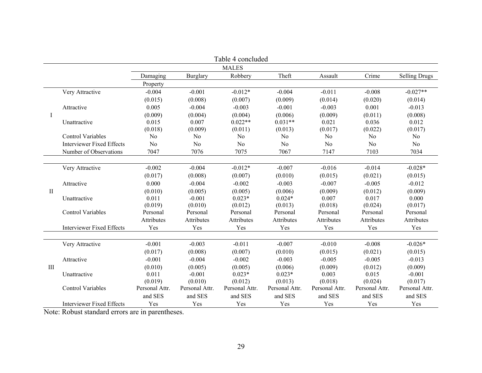|              | Table 4 concluded                |                |                 |                |                |                |                |                      |  |
|--------------|----------------------------------|----------------|-----------------|----------------|----------------|----------------|----------------|----------------------|--|
|              |                                  |                |                 | <b>MALES</b>   |                |                |                |                      |  |
|              |                                  | Damaging       | <b>Burglary</b> | Robbery        | Theft          | Assault        | Crime          | <b>Selling Drugs</b> |  |
|              |                                  | Property       |                 |                |                |                |                |                      |  |
|              | Very Attractive                  | $-0.004$       | $-0.001$        | $-0.012*$      | $-0.004$       | $-0.011$       | $-0.008$       | $-0.027**$           |  |
|              |                                  | (0.015)        | (0.008)         | (0.007)        | (0.009)        | (0.014)        | (0.020)        | (0.014)              |  |
|              | Attractive                       | 0.005          | $-0.004$        | $-0.003$       | $-0.001$       | $-0.003$       | 0.001          | $-0.013$             |  |
| Ι            |                                  | (0.009)        | (0.004)         | (0.004)        | (0.006)        | (0.009)        | (0.011)        | (0.008)              |  |
|              | Unattractive                     | 0.015          | 0.007           | $0.022**$      | $0.031**$      | 0.021          | 0.036          | 0.012                |  |
|              |                                  | (0.018)        | (0.009)         | (0.011)        | (0.013)        | (0.017)        | (0.022)        | (0.017)              |  |
|              | <b>Control Variables</b>         | N <sub>0</sub> | N <sub>0</sub>  | N <sub>0</sub> | N <sub>0</sub> | N <sub>0</sub> | No             | No                   |  |
|              | <b>Interviewer Fixed Effects</b> | N <sub>0</sub> | No              | N <sub>o</sub> | N <sub>o</sub> | N <sub>o</sub> | N <sub>o</sub> | N <sub>0</sub>       |  |
|              | Number of Observations           | 7047           | 7076            | 7075           | 7067           | 7147           | 7103           | 7034                 |  |
|              |                                  |                |                 |                |                |                |                |                      |  |
|              | Very Attractive                  | $-0.002$       | $-0.004$        | $-0.012*$      | $-0.007$       | $-0.016$       | $-0.014$       | $-0.028*$            |  |
|              |                                  | (0.017)        | (0.008)         | (0.007)        | (0.010)        | (0.015)        | (0.021)        | (0.015)              |  |
|              | Attractive                       | 0.000          | $-0.004$        | $-0.002$       | $-0.003$       | $-0.007$       | $-0.005$       | $-0.012$             |  |
| $\mathbf{I}$ |                                  | (0.010)        | (0.005)         | (0.005)        | (0.006)        | (0.009)        | (0.012)        | (0.009)              |  |
|              | Unattractive                     | 0.011          | $-0.001$        | $0.023*$       | $0.024*$       | 0.007          | 0.017          | 0.000                |  |
|              |                                  | (0.019)        | (0.010)         | (0.012)        | (0.013)        | (0.018)        | (0.024)        | (0.017)              |  |
|              | <b>Control Variables</b>         | Personal       | Personal        | Personal       | Personal       | Personal       | Personal       | Personal             |  |
|              |                                  | Attributes     | Attributes      | Attributes     | Attributes     | Attributes     | Attributes     | <b>Attributes</b>    |  |
|              | <b>Interviewer Fixed Effects</b> | Yes            | Yes             | Yes            | Yes            | Yes            | Yes            | Yes                  |  |
|              |                                  |                |                 |                |                |                |                |                      |  |
|              | Very Attractive                  | $-0.001$       | $-0.003$        | $-0.011$       | $-0.007$       | $-0.010$       | $-0.008$       | $-0.026*$            |  |
|              |                                  | (0.017)        | (0.008)         | (0.007)        | (0.010)        | (0.015)        | (0.021)        | (0.015)              |  |
|              | Attractive                       | $-0.001$       | $-0.004$        | $-0.002$       | $-0.003$       | $-0.005$       | $-0.005$       | $-0.013$             |  |
| III          |                                  | (0.010)        | (0.005)         | (0.005)        | (0.006)        | (0.009)        | (0.012)        | (0.009)              |  |
|              | Unattractive                     | 0.011          | $-0.001$        | $0.023*$       | $0.023*$       | 0.003          | 0.015          | $-0.001$             |  |
|              |                                  | (0.019)        | (0.010)         | (0.012)        | (0.013)        | (0.018)        | (0.024)        | (0.017)              |  |
|              | <b>Control Variables</b>         | Personal Attr. | Personal Attr.  | Personal Attr. | Personal Attr. | Personal Attr. | Personal Attr. | Personal Attr.       |  |
|              |                                  | and SES        | and SES         | and SES        | and SES        | and SES        | and SES        | and SES              |  |
|              | <b>Interviewer Fixed Effects</b> | Yes            | Yes             | Yes            | Yes            | Yes            | Yes            | Yes                  |  |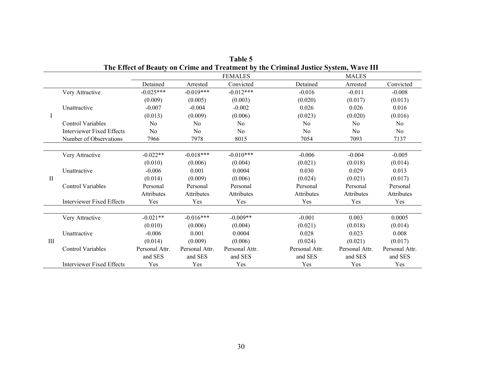|          | The lifect of Beauty on Crime and Treatment by the Criminal Justice System, Wave III |                |                |                |                |                |                |  |  |
|----------|--------------------------------------------------------------------------------------|----------------|----------------|----------------|----------------|----------------|----------------|--|--|
|          |                                                                                      |                |                | <b>FEMALES</b> |                | <b>MALES</b>   |                |  |  |
|          |                                                                                      | Detained       | Arrested       | Convicted      | Detained       | Arrested       | Convicted      |  |  |
|          | Very Attractive                                                                      | $-0.025***$    | $-0.019***$    | $-0.012***$    | $-0.016$       | $-0.011$       | $-0.008$       |  |  |
|          |                                                                                      | (0.009)        | (0.005)        | (0.003)        | (0.020)        | (0.017)        | (0.013)        |  |  |
|          | Unattractive                                                                         | $-0.007$       | $-0.004$       | $-0.002$       | 0.026          | 0.026          | 0.016          |  |  |
| Ι        |                                                                                      | (0.013)        | (0.009)        | (0.006)        | (0.023)        | (0.020)        | (0.016)        |  |  |
|          | <b>Control Variables</b>                                                             | N <sub>0</sub> | N <sub>0</sub> | N <sub>0</sub> | No             | N <sub>0</sub> | N <sub>0</sub> |  |  |
|          | <b>Interviewer Fixed Effects</b>                                                     | N <sub>0</sub> | No             | No             | N <sub>0</sub> | N <sub>0</sub> | N <sub>0</sub> |  |  |
|          | Number of Observations                                                               | 7966           | 7978           | 8015           | 7054           | 7093           | 7137           |  |  |
|          |                                                                                      |                |                |                |                |                |                |  |  |
|          | Very Attractive                                                                      | $-0.022**$     | $-0.018***$    | $-0.010***$    | $-0.006$       | $-0.004$       | $-0.005$       |  |  |
|          |                                                                                      | (0.010)        | (0.006)        | (0.004)        | (0.021)        | (0.018)        | (0.014)        |  |  |
|          | Unattractive                                                                         | $-0.006$       | 0.001          | 0.0004         | 0.030          | 0.029          | 0.013          |  |  |
| $\rm II$ |                                                                                      | (0.014)        | (0.009)        | (0.006)        | (0.024)        | (0.021)        | (0.017)        |  |  |
|          | <b>Control Variables</b>                                                             | Personal       | Personal       | Personal       | Personal       | Personal       | Personal       |  |  |
|          |                                                                                      | Attributes     | Attributes     | Attributes     | Attributes     | Attributes     | Attributes     |  |  |
|          | <b>Interviewer Fixed Effects</b>                                                     | Yes            | Yes            | Yes            | Yes            | Yes            | Yes            |  |  |
|          |                                                                                      |                |                |                |                |                |                |  |  |
|          | Very Attractive                                                                      | $-0.021**$     | $-0.016***$    | $-0.009**$     | $-0.001$       | 0.003          | 0.0005         |  |  |
|          |                                                                                      | (0.010)        | (0.006)        | (0.004)        | (0.021)        | (0.018)        | (0.014)        |  |  |
|          | Unattractive                                                                         | $-0.006$       | 0.001          | 0.0004         | 0.028          | 0.023          | 0.008          |  |  |
| Ш        |                                                                                      | (0.014)        | (0.009)        | (0.006)        | (0.024)        | (0.021)        | (0.017)        |  |  |
|          | <b>Control Variables</b>                                                             | Personal Attr. | Personal Attr. | Personal Attr. | Personal Attr. | Personal Attr. | Personal Attr. |  |  |
|          |                                                                                      | and SES        | and SES        | and SES        | and SES        | and SES        | and SES        |  |  |
|          | <b>Interviewer Fixed Effects</b>                                                     | Yes            | Yes            | Yes            | Yes            | Yes            | Yes            |  |  |

**Table 5 The Effect of Beauty on Crime and Treatment by the Criminal Justice System, Wave III**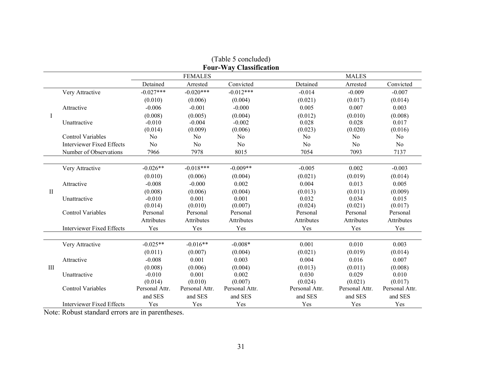| <b>Four-Way Classification</b> |                                  |                |                |                |                |                |                |  |
|--------------------------------|----------------------------------|----------------|----------------|----------------|----------------|----------------|----------------|--|
|                                |                                  |                | <b>FEMALES</b> |                |                | <b>MALES</b>   |                |  |
|                                |                                  | Detained       | Arrested       | Convicted      | Detained       | Arrested       | Convicted      |  |
|                                | Very Attractive                  | $-0.027***$    | $-0.020***$    | $-0.012***$    | $-0.014$       | $-0.009$       | $-0.007$       |  |
|                                |                                  | (0.010)        | (0.006)        | (0.004)        | (0.021)        | (0.017)        | (0.014)        |  |
|                                | Attractive                       | $-0.006$       | $-0.001$       | $-0.000$       | 0.005          | 0.007          | 0.003          |  |
| Ι                              |                                  | (0.008)        | (0.005)        | (0.004)        | (0.012)        | (0.010)        | (0.008)        |  |
|                                | Unattractive                     | $-0.010$       | $-0.004$       | $-0.002$       | 0.028          | 0.028          | 0.017          |  |
|                                |                                  | (0.014)        | (0.009)        | (0.006)        | (0.023)        | (0.020)        | (0.016)        |  |
|                                | <b>Control Variables</b>         | N <sub>0</sub> | N <sub>0</sub> | No             | N <sub>0</sub> | N <sub>0</sub> | No             |  |
|                                | <b>Interviewer Fixed Effects</b> | N <sub>0</sub> | N <sub>0</sub> | N <sub>o</sub> | N <sub>o</sub> | N <sub>0</sub> | N <sub>0</sub> |  |
|                                | Number of Observations           | 7966           | 7978           | 8015           | 7054           | 7093           | 7137           |  |
|                                |                                  |                |                |                |                |                |                |  |
|                                | Very Attractive                  | $-0.026**$     | $-0.018***$    | $-0.009**$     | $-0.005$       | 0.002          | $-0.003$       |  |
|                                |                                  | (0.010)        | (0.006)        | (0.004)        | (0.021)        | (0.019)        | (0.014)        |  |
|                                | Attractive                       | $-0.008$       | $-0.000$       | 0.002          | 0.004          | 0.013          | 0.005          |  |
| $\rm{II}$                      |                                  | (0.008)        | (0.006)        | (0.004)        | (0.013)        | (0.011)        | (0.009)        |  |
|                                | Unattractive                     | $-0.010$       | 0.001          | 0.001          | 0.032          | 0.034          | 0.015          |  |
|                                |                                  | (0.014)        | (0.010)        | (0.007)        | (0.024)        | (0.021)        | (0.017)        |  |
|                                | <b>Control Variables</b>         | Personal       | Personal       | Personal       | Personal       | Personal       | Personal       |  |
|                                |                                  | Attributes     | Attributes     | Attributes     | Attributes     | Attributes     | Attributes     |  |
|                                | <b>Interviewer Fixed Effects</b> | Yes            | Yes            | Yes            | Yes            | Yes            | Yes            |  |
|                                |                                  |                |                |                |                |                |                |  |
|                                | Very Attractive                  | $-0.025**$     | $-0.016**$     | $-0.008*$      | 0.001          | 0.010          | 0.003          |  |
|                                |                                  | (0.011)        | (0.007)        | (0.004)        | (0.021)        | (0.019)        | (0.014)        |  |
|                                | Attractive                       | $-0.008$       | 0.001          | 0.003          | 0.004          | 0.016          | 0.007          |  |
| III                            |                                  | (0.008)        | (0.006)        | (0.004)        | (0.013)        | (0.011)        | (0.008)        |  |
|                                | Unattractive                     | $-0.010$       | 0.001          | 0.002          | 0.030          | 0.029          | 0.010          |  |
|                                |                                  | (0.014)        | (0.010)        | (0.007)        | (0.024)        | (0.021)        | (0.017)        |  |
|                                | <b>Control Variables</b>         | Personal Attr. | Personal Attr. | Personal Attr. | Personal Attr. | Personal Attr. | Personal Attr. |  |
|                                |                                  | and SES        | and SES        | and SES        | and SES        | and SES        | and SES        |  |
|                                | Interviewer Fixed Effects        | Yes            | Yes            | Yes            | Yes            | Yes            | Yes            |  |

(Table 5 concluded)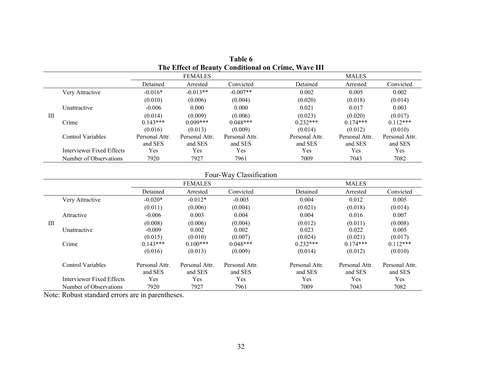|   | THU ETIUL OI DUAUUV CONGHUOHAI ON CTHIU, WAVU ILI |                |                |                |                |                |                |  |  |  |
|---|---------------------------------------------------|----------------|----------------|----------------|----------------|----------------|----------------|--|--|--|
|   |                                                   | <b>FEMALES</b> |                |                | <b>MALES</b>   |                |                |  |  |  |
|   |                                                   | Detained       | Arrested       | Convicted      | Detained       | Arrested       | Convicted      |  |  |  |
|   | Very Attractive                                   | $-0.016*$      | $-0.013**$     | $-0.007**$     | 0.002          | 0.005          | 0.002          |  |  |  |
|   |                                                   | (0.010)        | (0.006)        | (0.004)        | (0.020)        | (0.018)        | (0.014)        |  |  |  |
|   | Unattractive                                      | $-0.006$       | 0.000          | 0.000          | 0.021          | 0.017          | 0.003          |  |  |  |
| Ш |                                                   | (0.014)        | (0.009)        | (0.006)        | (0.023)        | (0.020)        | (0.017)        |  |  |  |
|   | Crime                                             | $0.143***$     | $0.099***$     | $0.048***$     | $0.232***$     | $0.174***$     | $0.112***$     |  |  |  |
|   |                                                   | (0.016)        | (0.013)        | (0.009)        | (0.014)        | (0.012)        | (0.010)        |  |  |  |
|   | Control Variables                                 | Personal Attr. | Personal Attr. | Personal Attr. | Personal Attr. | Personal Attr. | Personal Attr. |  |  |  |
|   |                                                   | and SES        | and SES        | and SES        | and SES        | and SES        | and SES        |  |  |  |
|   | Interviewer Fixed Effects                         | Yes            | Yes            | Yes            | Yes            | Yes            | Yes            |  |  |  |
|   | Number of Observations                            | 7920           | 7927           | 7961           | 7009           | 7043           | 7082           |  |  |  |

| Table 6                                             |  |
|-----------------------------------------------------|--|
| The Effect of Beauty Conditional on Crime, Wave III |  |

## Four-Way Classification

|   |                           |                           | <b>FEMALES</b>            |                           |                           | <b>MALES</b>              |                           |
|---|---------------------------|---------------------------|---------------------------|---------------------------|---------------------------|---------------------------|---------------------------|
|   |                           | Detained                  | Arrested                  | Convicted                 | Detained                  | Arrested                  | Convicted                 |
|   | Very Attractive           | $-0.020*$                 | $-0.012*$                 | $-0.005$                  | 0.004                     | 0.012                     | 0.005                     |
|   |                           | (0.011)                   | (0.006)                   | (0.004)                   | (0.021)                   | (0.018)                   | (0.014)                   |
|   | Attractive                | $-0.006$                  | 0.003                     | 0.004                     | 0.004                     | 0.016                     | 0.007                     |
| Ш |                           | (0.008)                   | (0.006)                   | (0.004)                   | (0.012)                   | (0.011)                   | (0.008)                   |
|   | Unattractive              | $-0.009$                  | 0.002                     | 0.002                     | 0.023                     | 0.022                     | 0.005                     |
|   |                           | (0.015)                   | (0.010)                   | (0.007)                   | (0.024)                   | (0.021)                   | (0.017)                   |
|   | Crime                     | $0.143***$                | $0.100***$                | $0.048***$                | $0.232***$                | $0.174***$                | $0.112***$                |
|   |                           | (0.016)                   | (0.013)                   | (0.009)                   | (0.014)                   | (0.012)                   | (0.010)                   |
|   | <b>Control Variables</b>  | Personal Attr.<br>and SES | Personal Attr.<br>and SES | Personal Attr.<br>and SES | Personal Attr.<br>and SES | Personal Attr.<br>and SES | Personal Attr.<br>and SES |
|   | Interviewer Fixed Effects | Yes                       | Yes                       | Yes                       | Yes                       | Yes                       | Yes                       |
|   | Number of Observations    | 7920                      | 7927                      | 7961                      | 7009                      | 7043                      | 7082                      |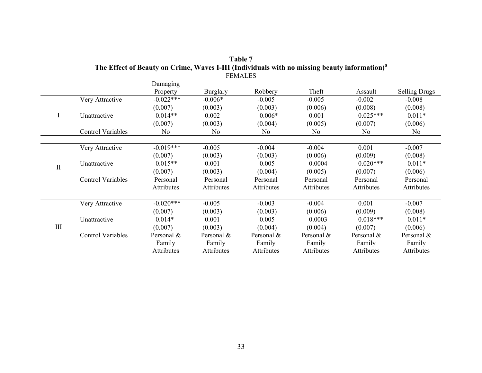| The Effect of Beauty on Crime, Waves I-III (Individuals with no missing beauty information)" |                          |                   |                 |                |               |                |                      |  |  |
|----------------------------------------------------------------------------------------------|--------------------------|-------------------|-----------------|----------------|---------------|----------------|----------------------|--|--|
|                                                                                              | <b>FEMALES</b>           |                   |                 |                |               |                |                      |  |  |
|                                                                                              |                          | Damaging          |                 |                |               |                |                      |  |  |
|                                                                                              |                          | Property          | <b>Burglary</b> | Robbery        | Theft         | Assault        | <b>Selling Drugs</b> |  |  |
|                                                                                              | Very Attractive          | $-0.022***$       | $-0.006*$       | $-0.005$       | $-0.005$      | $-0.002$       | $-0.008$             |  |  |
|                                                                                              |                          | (0.007)           | (0.003)         | (0.003)        | (0.006)       | (0.008)        | (0.008)              |  |  |
| I                                                                                            | Unattractive             | $0.014**$         | 0.002           | $0.006*$       | 0.001         | $0.025***$     | $0.011*$             |  |  |
|                                                                                              |                          | (0.007)           | (0.003)         | (0.004)        | (0.005)       | (0.007)        | (0.006)              |  |  |
|                                                                                              | <b>Control Variables</b> | No                | N <sub>0</sub>  | N <sub>0</sub> | No            | N <sub>0</sub> | No                   |  |  |
|                                                                                              |                          |                   |                 |                |               |                |                      |  |  |
|                                                                                              | Very Attractive          | $-0.019***$       | $-0.005$        | $-0.004$       | $-0.004$      | 0.001          | $-0.007$             |  |  |
|                                                                                              |                          | (0.007)           | (0.003)         | (0.003)        | (0.006)       | (0.009)        | (0.008)              |  |  |
| $\mathbf{I}$                                                                                 | Unattractive             | $0.015**$         | 0.001           | 0.005          | 0.0004        | $0.020***$     | $0.011*$             |  |  |
|                                                                                              |                          | (0.007)           | (0.003)         | (0.004)        | (0.005)       | (0.007)        | (0.006)              |  |  |
|                                                                                              | <b>Control Variables</b> | Personal          | Personal        | Personal       | Personal      | Personal       | Personal             |  |  |
|                                                                                              |                          | Attributes        | Attributes      | Attributes     | Attributes    | Attributes     | Attributes           |  |  |
|                                                                                              |                          |                   |                 |                |               |                |                      |  |  |
|                                                                                              | Very Attractive          | $-0.020***$       | $-0.005$        | $-0.003$       | $-0.004$      | 0.001          | $-0.007$             |  |  |
|                                                                                              |                          | (0.007)           | (0.003)         | (0.003)        | (0.006)       | (0.009)        | (0.008)              |  |  |
|                                                                                              | Unattractive             | $0.014*$          | 0.001           | 0.005          | 0.0003        | $0.018***$     | $0.011*$             |  |  |
| III                                                                                          |                          | (0.007)           | (0.003)         | (0.004)        | (0.004)       | (0.007)        | (0.006)              |  |  |
|                                                                                              | <b>Control Variables</b> | Personal &        | Personal $\&$   | Personal &     | Personal $\&$ | Personal &     | Personal &           |  |  |
|                                                                                              |                          | Family            | Family          | Family         | Family        | Family         | Family               |  |  |
|                                                                                              |                          | <b>Attributes</b> | Attributes      | Attributes     | Attributes    | Attributes     | Attributes           |  |  |

**Table 7 The Effect of Beauty on Crime, Waves I-III (Individuals with no missing beauty information)<sup>a</sup>**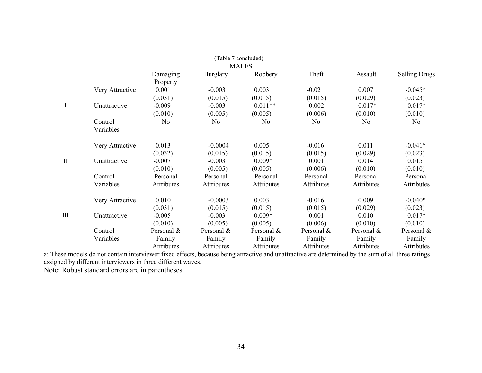| (Table 7 concluded) |                 |                      |                 |                |                |                |                      |  |
|---------------------|-----------------|----------------------|-----------------|----------------|----------------|----------------|----------------------|--|
| <b>MALES</b>        |                 |                      |                 |                |                |                |                      |  |
|                     |                 | Damaging<br>Property | <b>Burglary</b> | Robbery        | Theft          | Assault        | <b>Selling Drugs</b> |  |
|                     | Very Attractive | 0.001                | $-0.003$        | 0.003          | $-0.02$        | 0.007          | $-0.045*$            |  |
|                     |                 | (0.031)              | (0.015)         | (0.015)        | (0.015)        | (0.029)        | (0.023)              |  |
| I                   | Unattractive    | $-0.009$             | $-0.003$        | $0.011**$      | 0.002          | $0.017*$       | $0.017*$             |  |
|                     |                 | (0.010)              | (0.005)         | (0.005)        | (0.006)        | (0.010)        | (0.010)              |  |
|                     | Control         | N <sub>0</sub>       | No              | N <sub>0</sub> | N <sub>0</sub> | N <sub>0</sub> | N <sub>0</sub>       |  |
|                     | Variables       |                      |                 |                |                |                |                      |  |
|                     |                 |                      |                 |                |                |                |                      |  |
|                     | Very Attractive | 0.013                | $-0.0004$       | 0.005          | $-0.016$       | 0.011          | $-0.041*$            |  |
|                     |                 | (0.032)              | (0.015)         | (0.015)        | (0.015)        | (0.029)        | (0.023)              |  |
| $\mathbf{I}$        | Unattractive    | $-0.007$             | $-0.003$        | $0.009*$       | 0.001          | 0.014          | 0.015                |  |
|                     |                 | (0.010)              | (0.005)         | (0.005)        | (0.006)        | (0.010)        | (0.010)              |  |
|                     | Control         | Personal             | Personal        | Personal       | Personal       | Personal       | Personal             |  |
|                     | Variables       | Attributes           | Attributes      | Attributes     | Attributes     | Attributes     | Attributes           |  |
|                     |                 |                      |                 |                |                |                |                      |  |
|                     | Very Attractive | 0.010                | $-0.0003$       | 0.003          | $-0.016$       | 0.009          | $-0.040*$            |  |
|                     |                 | (0.031)              | (0.015)         | (0.015)        | (0.015)        | (0.029)        | (0.023)              |  |
| $\rm III$           | Unattractive    | $-0.005$             | $-0.003$        | $0.009*$       | 0.001          | 0.010          | $0.017*$             |  |
|                     |                 | (0.010)              | (0.005)         | (0.005)        | (0.006)        | (0.010)        | (0.010)              |  |
|                     | Control         | Personal &           | Personal &      | Personal &     | Personal &     | Personal &     | Personal &           |  |
|                     | Variables       | Family               | Family          | Family         | Family         | Family         | Family               |  |
|                     |                 | Attributes           | Attributes      | Attributes     | Attributes     | Attributes     | Attributes           |  |

Attributes Attributes Attributes Attributes Attributes Attributes Attributes Attributes Attributes Attributes<br>Attributes and all three ratings attractive and unattractive are determined by the sum of all three ratings assigned by different interviewers in three different waves.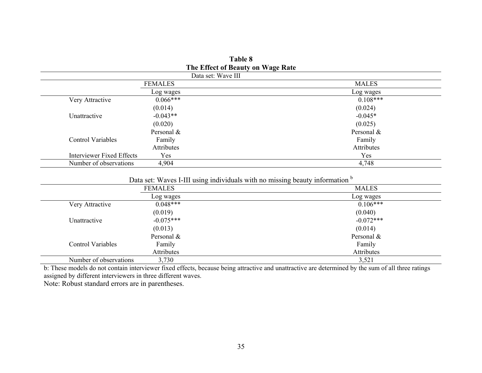|                           | Data set: Wave III |              |
|---------------------------|--------------------|--------------|
|                           | <b>FEMALES</b>     | <b>MALES</b> |
|                           | Log wages          | Log wages    |
| Very Attractive           | $0.066***$         | $0.108***$   |
|                           | (0.014)            | (0.024)      |
| Unattractive              | $-0.043**$         | $-0.045*$    |
|                           | (0.020)            | (0.025)      |
|                           | Personal $\&$      | Personal &   |
| <b>Control Variables</b>  | Family             | Family       |
|                           | Attributes         | Attributes   |
| Interviewer Fixed Effects | Yes                | Yes          |
| Number of observations    | 4,904              | 4,748        |

| Table 8                           |  |  |  |  |  |  |
|-----------------------------------|--|--|--|--|--|--|
| The Effect of Beauty on Wage Rate |  |  |  |  |  |  |
|                                   |  |  |  |  |  |  |

Data set: Waves I-III using individuals with no missing beauty information b

|                          | <b>FEMALES</b> | <b>MALES</b> |
|--------------------------|----------------|--------------|
|                          | Log wages      | Log wages    |
| Very Attractive          | $0.048***$     | $0.106***$   |
|                          | (0.019)        | (0.040)      |
| Unattractive             | $-0.075***$    | $-0.072***$  |
|                          | (0.013)        | (0.014)      |
|                          | Personal &     | Personal &   |
| <b>Control Variables</b> | Family         | Family       |
|                          | Attributes     | Attributes   |
| Number of observations   | 3,730          | 3,521        |

b: These models do not contain interviewer fixed effects, because being attractive and unattractive are determined by the sum of all three ratings assigned by different interviewers in three different waves.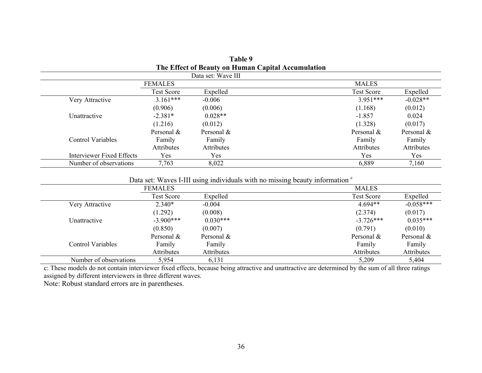|                                  |                   | Data set: Wave III |                   |            |
|----------------------------------|-------------------|--------------------|-------------------|------------|
|                                  | <b>FEMALES</b>    |                    | <b>MALES</b>      |            |
|                                  | <b>Test Score</b> | Expelled           | <b>Test Score</b> | Expelled   |
| Very Attractive                  | $3.161***$        | $-0.006$           | $3.951***$        | $-0.028**$ |
|                                  | (0.906)           | (0.006)            | (1.168)           | (0.012)    |
| Unattractive                     | $-2.381*$         | $0.028**$          | $-1.857$          | 0.024      |
|                                  | (1.216)           | (0.012)            | (1.328)           | (0.017)    |
|                                  | Personal $\&$     | Personal &         | Personal $\&$     | Personal & |
| <b>Control Variables</b>         | Family            | Family             | Family            | Family     |
|                                  | Attributes        | Attributes         | Attributes        | Attributes |
| <b>Interviewer Fixed Effects</b> | Yes               | Yes                | Yes               | Yes        |
| Number of observations           | 7,763             | 8,022              | 6,889             | 7,160      |

**Table 9 The Effect of Beauty on Human Capital Accumulation** 

Data set: Waves I-III using individuals with no missing beauty information <sup>c</sup>

|                          | <b>FEMALES</b> |               | <b>MALES</b>  |             |
|--------------------------|----------------|---------------|---------------|-------------|
|                          | Test Score     | Expelled      | Test Score    | Expelled    |
| Very Attractive          | $2.340*$       | $-0.004$      | $4.694**$     | $-0.058***$ |
|                          | (1.292)        | (0.008)       | (2.374)       | (0.017)     |
| Unattractive             | $-3.900***$    | $0.030***$    | $-3.726***$   | $0.035***$  |
|                          | (0.850)        | (0.007)       | (0.791)       | (0.010)     |
|                          | Personal $\&$  | Personal $\&$ | Personal $\&$ | Personal &  |
| <b>Control Variables</b> | Family         | Family        | Family        | Family      |
|                          | Attributes     | Attributes    | Attributes    | Attributes  |
| Number of observations   | 5,954          | 6,131         | 5,209         | 5,404       |

c: These models do not contain interviewer fixed effects, because being attractive and unattractive are determined by the sum of all three ratings assigned by different interviewers in three different waves.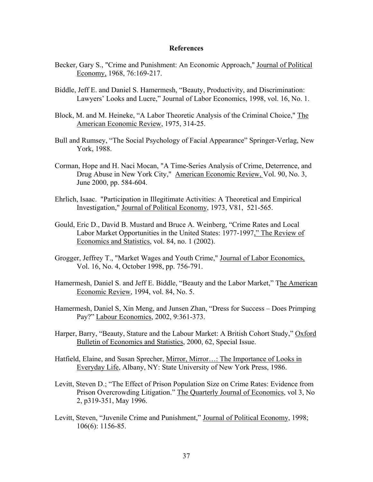#### **References**

- Becker, Gary S., "Crime and Punishment: An Economic Approach," Journal of Political Economy, 1968, 76:169-217.
- Biddle, Jeff E. and Daniel S. Hamermesh, "Beauty, Productivity, and Discrimination: Lawyers' Looks and Lucre," Journal of Labor Economics, 1998, vol. 16, No. 1.
- Block, M. and M. Heineke, "A Labor Theoretic Analysis of the Criminal Choice," The American Economic Review, 1975, 314-25.
- Bull and Rumsey, "The Social Psychology of Facial Appearance" Springer-Verlag, New York, 1988.
- Corman, Hope and H. Naci Mocan, "A Time-Series Analysis of Crime, Deterrence, and Drug Abuse in New York City," American Economic Review, Vol. 90, No. 3, June 2000, pp. 584-604.
- Ehrlich, Isaac. "Participation in Illegitimate Activities: A Theoretical and Empirical Investigation," Journal of Political Economy, 1973, V81, 521-565.
- Gould, Eric D., David B. Mustard and Bruce A. Weinberg, "Crime Rates and Local Labor Market Opportunities in the United States: 1977-1997," The Review of Economics and Statistics, vol. 84, no. 1 (2002).
- Grogger, Jeffrey T., "Market Wages and Youth Crime," Journal of Labor Economics, Vol. 16, No. 4, October 1998, pp. 756-791.
- Hamermesh, Daniel S. and Jeff E. Biddle, "Beauty and the Labor Market," The American Economic Review, 1994, vol. 84, No. 5.
- Hamermesh, Daniel S, Xin Meng, and Junsen Zhan, "Dress for Success Does Primping Pay?" Labour Economics, 2002, 9:361-373.
- Harper, Barry, "Beauty, Stature and the Labour Market: A British Cohort Study," Oxford Bulletin of Economics and Statistics, 2000, 62, Special Issue.
- Hatfield, Elaine, and Susan Sprecher, Mirror, Mirror…: The Importance of Looks in Everyday Life, Albany, NY: State University of New York Press, 1986.
- Levitt, Steven D.; "The Effect of Prison Population Size on Crime Rates: Evidence from Prison Overcrowding Litigation." The Quarterly Journal of Economics, vol 3, No 2, p319-351, May 1996.
- Levitt, Steven, "Juvenile Crime and Punishment," Journal of Political Economy, 1998; 106(6): 1156-85.